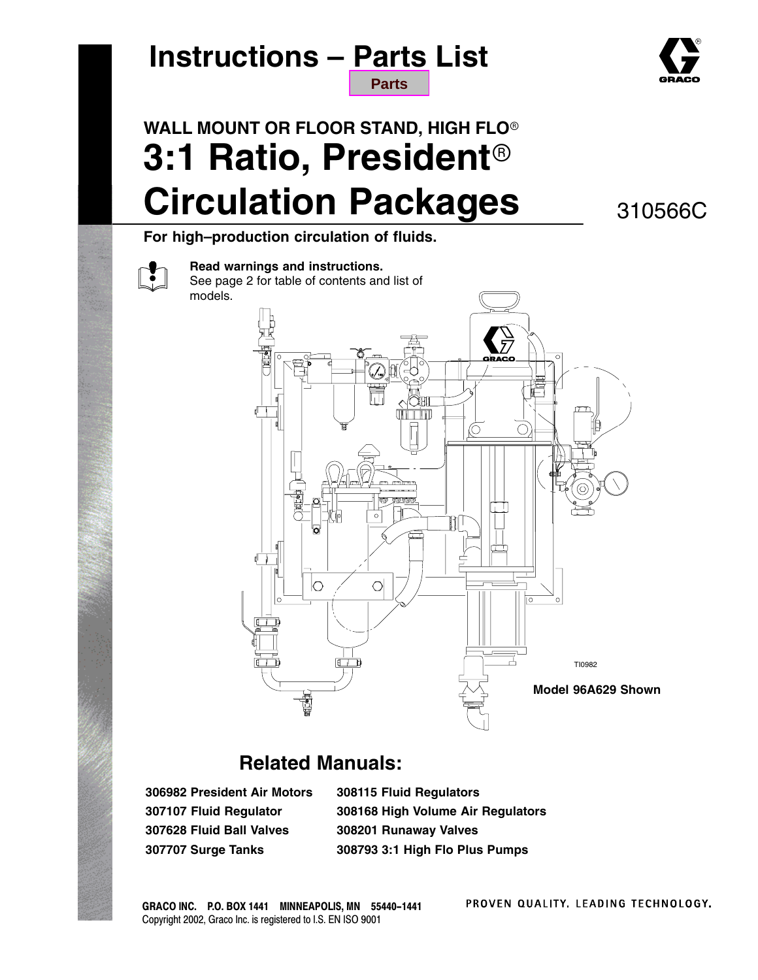### **Instructions – Parts List [Parts](#page-15-0)**



## **WALL MOUNT OR FLOOR STAND, HIGH FLO 3:1 Ratio, President Circulation Packages**

310566C

**For high–production circulation of fluids.**



**Read warnings and instructions.**

See page 2 for table of contents and list of models.



### **Related Manuals:**

**306982 President Air Motors 307107 Fluid Regulator 307628 Fluid Ball Valves 307707 Surge Tanks**

**308115 Fluid Regulators 308168 High Volume Air Regulators 308201 Runaway Valves 308793 3:1 High Flo Plus Pumps**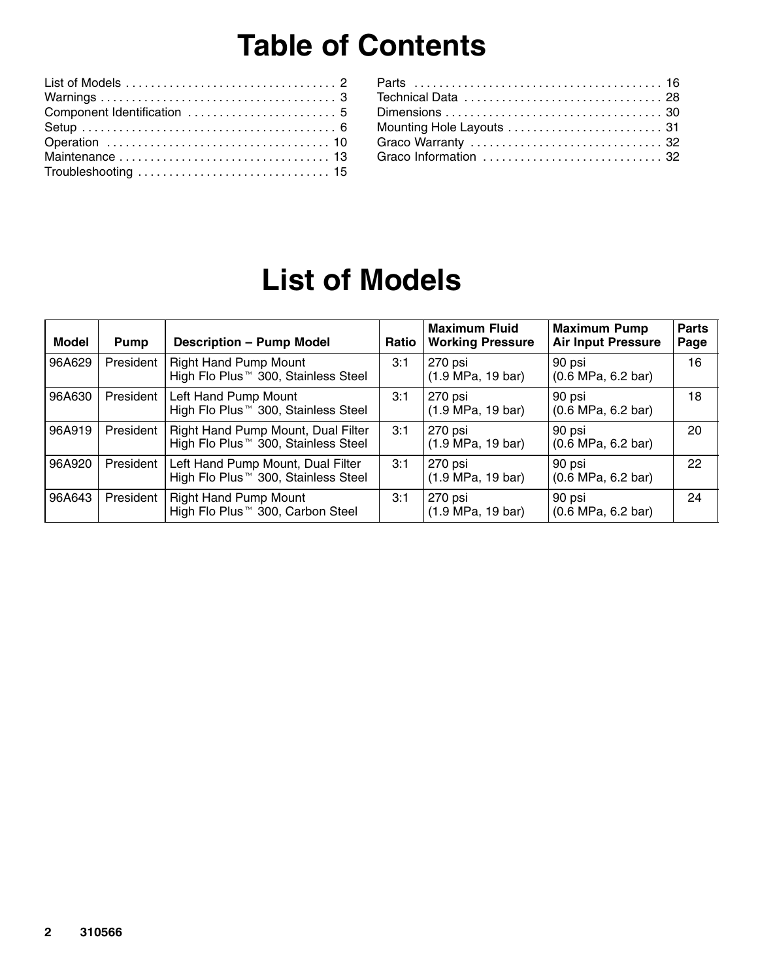## **Table of Contents**

| Mounting Hole Layouts  31 |  |
|---------------------------|--|
|                           |  |
| Graco Information  32     |  |
|                           |  |

## **List of Models**

| Model  | <b>Pump</b> | <b>Description - Pump Model</b>                                                       | Ratio | <b>Maximum Fluid</b><br><b>Working Pressure</b> | <b>Maximum Pump</b><br><b>Air Input Pressure</b> | <b>Parts</b><br>Page |
|--------|-------------|---------------------------------------------------------------------------------------|-------|-------------------------------------------------|--------------------------------------------------|----------------------|
| 96A629 | President   | <b>Right Hand Pump Mount</b><br>High Flo Plus <sup>™</sup> 300, Stainless Steel       | 3:1   | 270 psi<br>(1.9 MPa, 19 bar)                    | 90 psi<br>$(0.6 \text{ MPa}, 6.2 \text{ bar})$   | 16                   |
| 96A630 | President   | Left Hand Pump Mount<br>High Flo Plus <sup>™</sup> 300, Stainless Steel               | 3:1   | 270 psi<br>(1.9 MPa, 19 bar)                    | 90 psi<br>(0.6 MPa, 6.2 bar)                     | 18                   |
| 96A919 | President   | Right Hand Pump Mount, Dual Filter<br>High Flo Plus <sup>™</sup> 300, Stainless Steel | 3:1   | 270 psi<br>(1.9 MPa, 19 bar)                    | 90 psi<br>(0.6 MPa, 6.2 bar)                     | 20                   |
| 96A920 | President   | Left Hand Pump Mount, Dual Filter<br>High Flo Plus <sup>™</sup> 300, Stainless Steel  | 3:1   | 270 psi<br>$(1.9 \text{ MPa}, 19 \text{ bar})$  | 90 psi<br>$(0.6 \text{ MPa}, 6.2 \text{ bar})$   | 22                   |
| 96A643 | President   | <b>Right Hand Pump Mount</b><br>High Flo Plus <sup>™</sup> 300, Carbon Steel          | 3:1   | 270 psi<br>(1.9 MPa, 19 bar)                    | 90 psi<br>(0.6 MPa, 6.2 bar)                     | 24                   |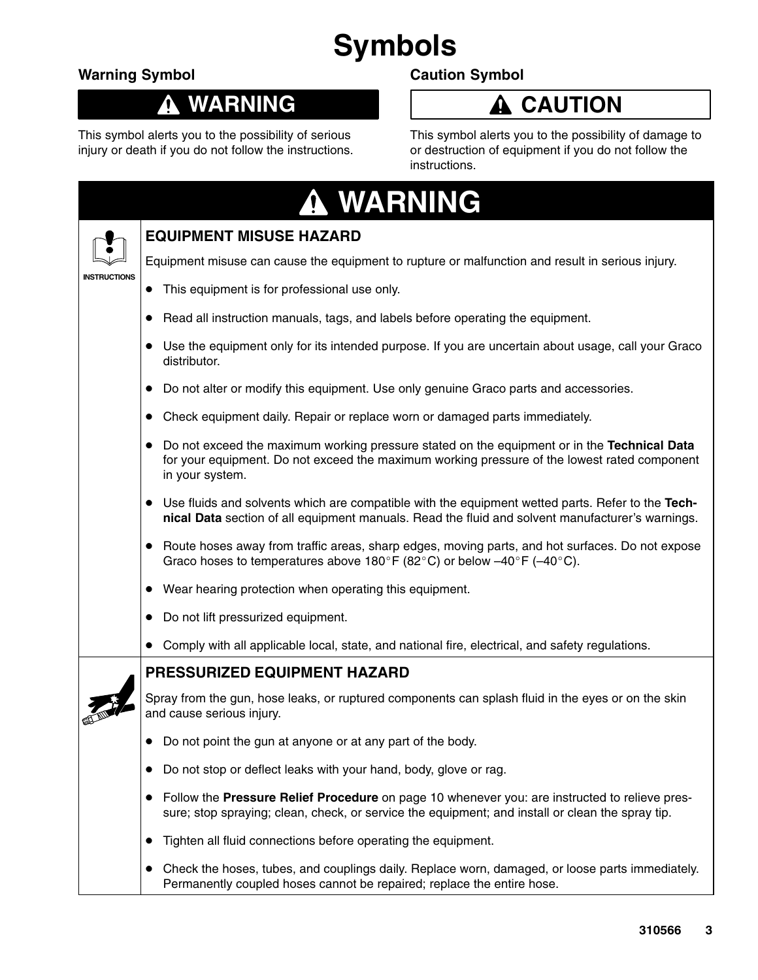## **Symbols**

### **Warning Symbol**

Т

#### **WARNING**  $\boldsymbol{\Lambda}$

This symbol alerts you to the possibility of serious injury or death if you do not follow the instructions.

### **Caution Symbol**

### **A** CAUTION

This symbol alerts you to the possibility of damage to or destruction of equipment if you do not follow the instructions.

| <b>WARNING</b> |  |  |  |  |  |
|----------------|--|--|--|--|--|
|                |  |  |  |  |  |

|                     | <b>EQUIPMENT MISUSE HAZARD</b>                                                                                                                                                                                              |  |
|---------------------|-----------------------------------------------------------------------------------------------------------------------------------------------------------------------------------------------------------------------------|--|
|                     | Equipment misuse can cause the equipment to rupture or malfunction and result in serious injury.                                                                                                                            |  |
| <b>INSTRUCTIONS</b> | This equipment is for professional use only.<br>$\bullet$                                                                                                                                                                   |  |
|                     | Read all instruction manuals, tags, and labels before operating the equipment.<br>$\bullet$                                                                                                                                 |  |
|                     | Use the equipment only for its intended purpose. If you are uncertain about usage, call your Graco<br>distributor.                                                                                                          |  |
|                     | Do not alter or modify this equipment. Use only genuine Graco parts and accessories.<br>$\bullet$                                                                                                                           |  |
|                     | Check equipment daily. Repair or replace worn or damaged parts immediately.<br>$\bullet$                                                                                                                                    |  |
|                     | Do not exceed the maximum working pressure stated on the equipment or in the Technical Data<br>$\bullet$<br>for your equipment. Do not exceed the maximum working pressure of the lowest rated component<br>in your system. |  |
|                     | • Use fluids and solvents which are compatible with the equipment wetted parts. Refer to the Tech-<br>nical Data section of all equipment manuals. Read the fluid and solvent manufacturer's warnings.                      |  |
|                     | • Route hoses away from traffic areas, sharp edges, moving parts, and hot surfaces. Do not expose<br>Graco hoses to temperatures above 180°F (82°C) or below $-40^{\circ}$ F (-40°C).                                       |  |
|                     | • Wear hearing protection when operating this equipment.                                                                                                                                                                    |  |
|                     | Do not lift pressurized equipment.<br>$\bullet$                                                                                                                                                                             |  |
|                     | Comply with all applicable local, state, and national fire, electrical, and safety regulations.                                                                                                                             |  |
|                     | <b>PRESSURIZED EQUIPMENT HAZARD</b>                                                                                                                                                                                         |  |
|                     | Spray from the gun, hose leaks, or ruptured components can splash fluid in the eyes or on the skin<br>and cause serious injury.                                                                                             |  |
|                     | Do not point the gun at anyone or at any part of the body.                                                                                                                                                                  |  |
|                     | • Do not stop or deflect leaks with your hand, body, glove or rag.                                                                                                                                                          |  |
|                     | • Follow the Pressure Relief Procedure on page 10 whenever you: are instructed to relieve pres-<br>sure; stop spraying; clean, check, or service the equipment; and install or clean the spray tip.                         |  |
|                     | Tighten all fluid connections before operating the equipment.<br>$\bullet$                                                                                                                                                  |  |
|                     | Check the hoses, tubes, and couplings daily. Replace worn, damaged, or loose parts immediately.<br>$\bullet$<br>Permanently coupled hoses cannot be repaired; replace the entire hose.                                      |  |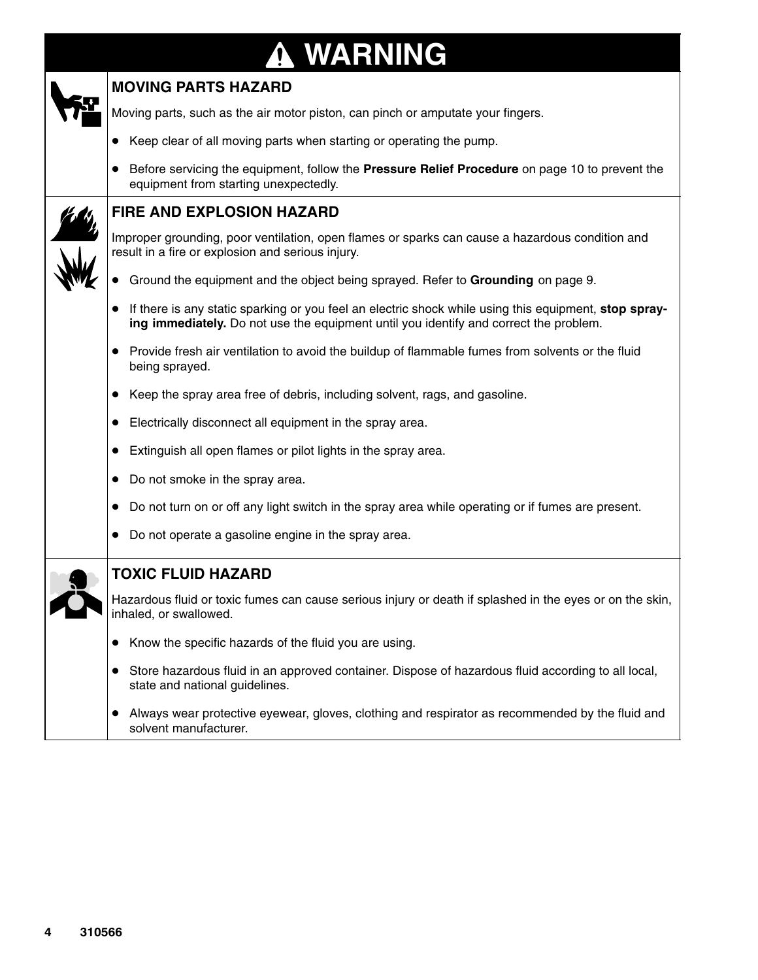# **WARNING**

| <b>MOVING PARTS HAZARD</b>                                                                                                                                                                                  |
|-------------------------------------------------------------------------------------------------------------------------------------------------------------------------------------------------------------|
| Moving parts, such as the air motor piston, can pinch or amputate your fingers.                                                                                                                             |
| Keep clear of all moving parts when starting or operating the pump.                                                                                                                                         |
| Before servicing the equipment, follow the Pressure Relief Procedure on page 10 to prevent the<br>equipment from starting unexpectedly.                                                                     |
| <b>FIRE AND EXPLOSION HAZARD</b>                                                                                                                                                                            |
| Improper grounding, poor ventilation, open flames or sparks can cause a hazardous condition and<br>result in a fire or explosion and serious injury.                                                        |
| Ground the equipment and the object being sprayed. Refer to Grounding on page 9.                                                                                                                            |
| If there is any static sparking or you feel an electric shock while using this equipment, stop spray-<br>$\bullet$<br>ing immediately. Do not use the equipment until you identify and correct the problem. |
| Provide fresh air ventilation to avoid the buildup of flammable fumes from solvents or the fluid<br>being sprayed.                                                                                          |
| Keep the spray area free of debris, including solvent, rags, and gasoline.<br>$\bullet$                                                                                                                     |
| Electrically disconnect all equipment in the spray area.<br>$\bullet$                                                                                                                                       |
| Extinguish all open flames or pilot lights in the spray area.<br>$\bullet$                                                                                                                                  |
| Do not smoke in the spray area.<br>$\bullet$                                                                                                                                                                |
| Do not turn on or off any light switch in the spray area while operating or if fumes are present.<br>$\bullet$                                                                                              |
| Do not operate a gasoline engine in the spray area.                                                                                                                                                         |
| <b>TOXIC FLUID HAZARD</b>                                                                                                                                                                                   |
| Hazardous fluid or toxic fumes can cause serious injury or death if splashed in the eyes or on the skin,<br>inhaled, or swallowed.                                                                          |
| Know the specific hazards of the fluid you are using.                                                                                                                                                       |
| Store hazardous fluid in an approved container. Dispose of hazardous fluid according to all local,<br>$\bullet$<br>state and national guidelines.                                                           |
| Always wear protective eyewear, gloves, clothing and respirator as recommended by the fluid and<br>$\bullet$<br>solvent manufacturer.                                                                       |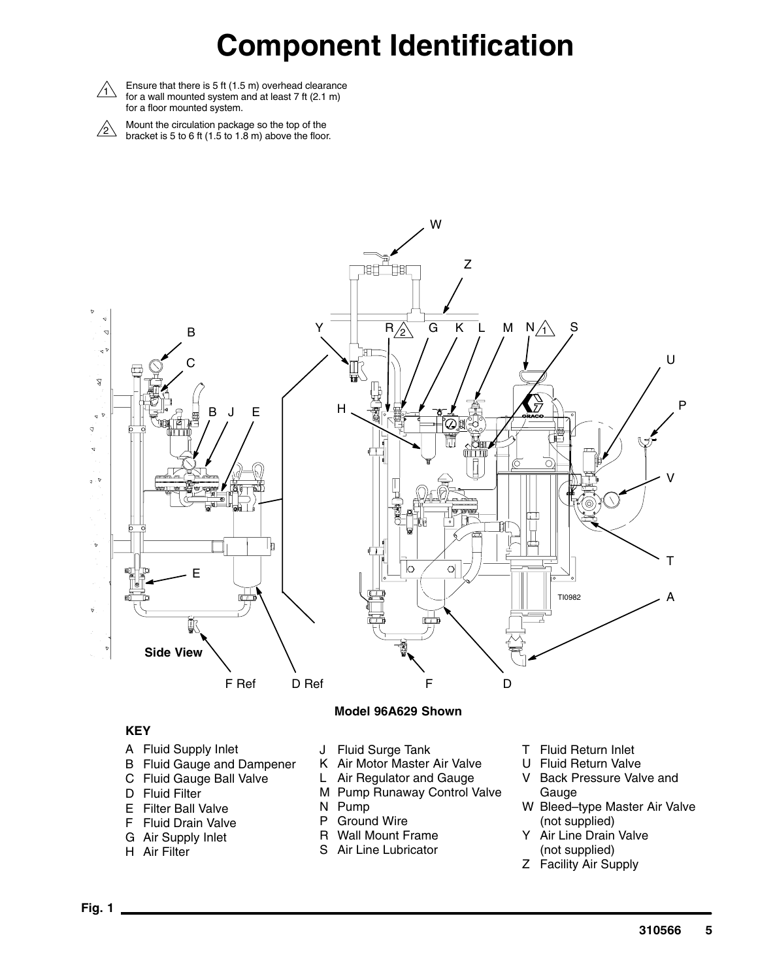## **Component Identification**



 $\triangle$  Ensure that there is 5 ft (1.5 m) overhead clearance for a wall mounted system and at least 7 ft (2.1 m) for a floor mounted system.

 $\sum_{\alpha}$  Mount the circulation package so the top of the<br>bracket is 5 to 6 ft (1.5 to 1.8 m) above the floor.



#### **KEY**

- A Fluid Supply Inlet
- B Fluid Gauge and Dampener C Fluid Gauge Ball Valve
- D Fluid Filter
- 
- E Filter Ball Valve F Fluid Drain Valve
- G Air Supply Inlet
- H Air Filter
- J Fluid Surge Tank
- K Air Motor Master Air Valve
- L Air Regulator and Gauge
- M Pump Runaway Control Valve
- N Pump
- P Ground Wire
- R Wall Mount Frame
- S Air Line Lubricator
- T Fluid Return Inlet
- U Fluid Return Valve
- V Back Pressure Valve and Gauge
- W Bleed–type Master Air Valve (not supplied)
- Y Air Line Drain Valve (not supplied)
- Z Facility Air Supply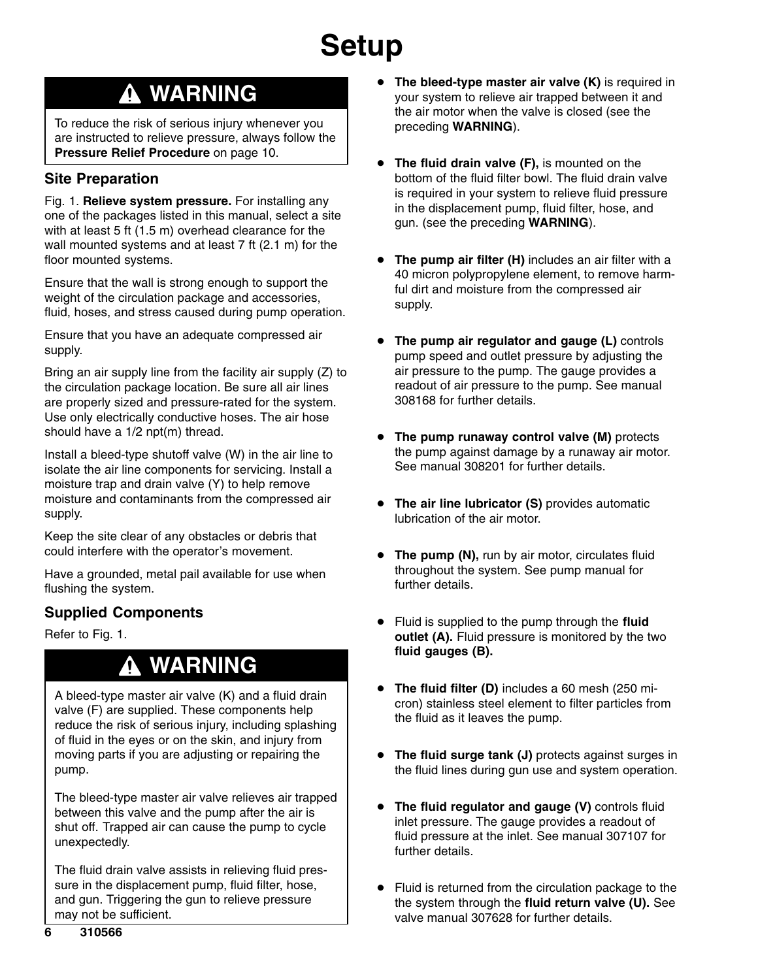### **WARNING**

To reduce the risk of serious injury whenever you are instructed to relieve pressure, always follow the **Pressure Relief Procedure** on page 10.

### **Site Preparation**

Fig. 1. **Relieve system pressure.** For installing any one of the packages listed in this manual, select a site with at least 5 ft (1.5 m) overhead clearance for the wall mounted systems and at least 7 ft (2.1 m) for the floor mounted systems.

Ensure that the wall is strong enough to support the weight of the circulation package and accessories, fluid, hoses, and stress caused during pump operation.

Ensure that you have an adequate compressed air supply.

Bring an air supply line from the facility air supply (Z) to the circulation package location. Be sure all air lines are properly sized and pressure-rated for the system. Use only electrically conductive hoses. The air hose should have a 1/2 npt(m) thread.

Install a bleed-type shutoff valve (W) in the air line to isolate the air line components for servicing. Install a moisture trap and drain valve (Y) to help remove moisture and contaminants from the compressed air supply.

Keep the site clear of any obstacles or debris that could interfere with the operator's movement.

Have a grounded, metal pail available for use when flushing the system.

### **Supplied Components**

Refer to Fig. 1.

### **WARNING**

A bleed-type master air valve (K) and a fluid drain valve (F) are supplied. These components help reduce the risk of serious injury, including splashing of fluid in the eyes or on the skin, and injury from moving parts if you are adjusting or repairing the pump.

The bleed-type master air valve relieves air trapped between this valve and the pump after the air is shut off. Trapped air can cause the pump to cycle unexpectedly.

The fluid drain valve assists in relieving fluid pressure in the displacement pump, fluid filter, hose, and gun. Triggering the gun to relieve pressure may not be sufficient.

- $\bullet$  **The bleed-type master air valve (K)** is required in your system to relieve air trapped between it and the air motor when the valve is closed (see the preceding **WARNING**).
- $\bullet$  **The fluid drain valve (F),** is mounted on the bottom of the fluid filter bowl. The fluid drain valve is required in your system to relieve fluid pressure in the displacement pump, fluid filter, hose, and gun. (see the preceding **WARNING**).
- $\bullet$  **The pump air filter (H)** includes an air filter with a 40 micron polypropylene element, to remove harmful dirt and moisture from the compressed air supply.
- $\bullet$  **The pump air regulator and gauge (L)** controls pump speed and outlet pressure by adjusting the air pressure to the pump. The gauge provides a readout of air pressure to the pump. See manual 308168 for further details.
- **The pump runaway control valve (M)** protects the pump against damage by a runaway air motor. See manual 308201 for further details.
- $\bullet$  **The air line lubricator (S)** provides automatic lubrication of the air motor.
- **The pump (N), run by air motor, circulates fluid** throughout the system. See pump manual for further details.
- $\bullet$  Fluid is supplied to the pump through the **fluid outlet (A).** Fluid pressure is monitored by the two **fluid gauges (B).**
- $\bullet$  **The fluid filter (D)** includes a 60 mesh (250 micron) stainless steel element to filter particles from the fluid as it leaves the pump.
- $\bullet$  **The fluid surge tank (J)** protects against surges in the fluid lines during gun use and system operation.
- $\bullet$  **The fluid regulator and gauge (V)** controls fluid inlet pressure. The gauge provides a readout of fluid pressure at the inlet. See manual 307107 for further details.
- $\bullet$  Fluid is returned from the circulation package to the the system through the **fluid return valve (U).** See valve manual 307628 for further details.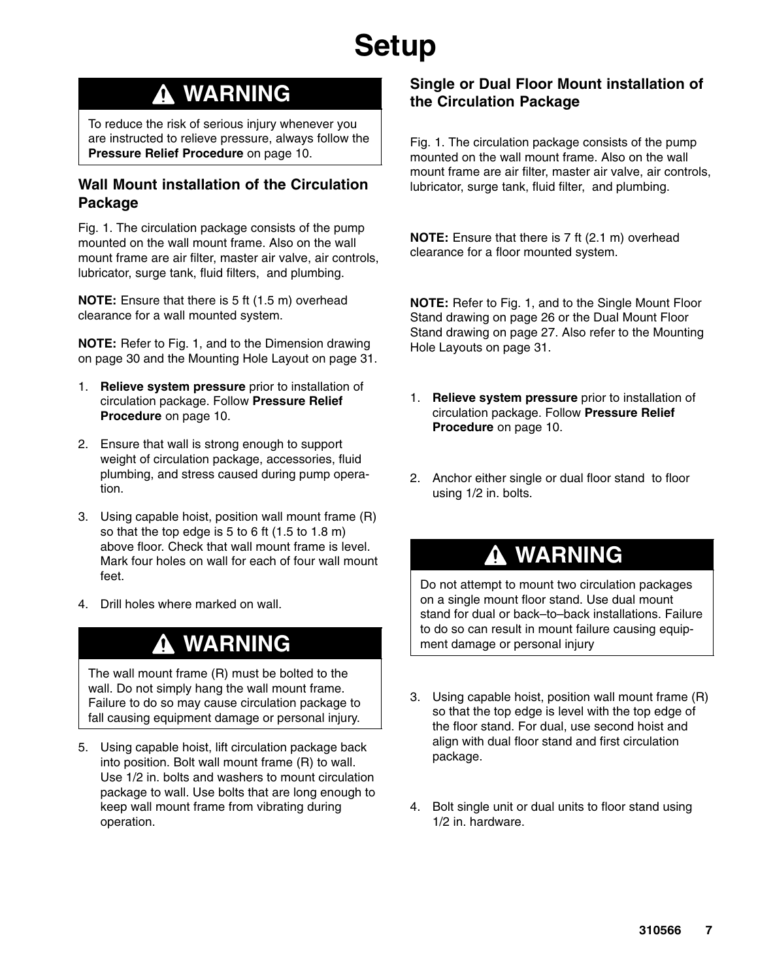### **WARNING**

To reduce the risk of serious injury whenever you are instructed to relieve pressure, always follow the **Pressure Relief Procedure** on page 10.

#### **Wall Mount installation of the Circulation Package**

Fig. 1. The circulation package consists of the pump mounted on the wall mount frame. Also on the wall mount frame are air filter, master air valve, air controls, lubricator, surge tank, fluid filters, and plumbing.

**NOTE:** Ensure that there is 5 ft (1.5 m) overhead clearance for a wall mounted system.

**NOTE:** Refer to Fig. 1, and to the Dimension drawing on page 30 and the Mounting Hole Layout on page 31.

- 1. **Relieve system pressure** prior to installation of circulation package. Follow **Pressure Relief Procedure** on page 10.
- 2. Ensure that wall is strong enough to support weight of circulation package, accessories, fluid plumbing, and stress caused during pump operation.
- 3. Using capable hoist, position wall mount frame (R) so that the top edge is 5 to 6 ft (1.5 to 1.8 m) above floor. Check that wall mount frame is level. Mark four holes on wall for each of four wall mount feet.
- 4. Drill holes where marked on wall.

### **WARNING**

The wall mount frame (R) must be bolted to the wall. Do not simply hang the wall mount frame. Failure to do so may cause circulation package to fall causing equipment damage or personal injury.

5. Using capable hoist, lift circulation package back into position. Bolt wall mount frame (R) to wall. Use 1/2 in. bolts and washers to mount circulation package to wall. Use bolts that are long enough to keep wall mount frame from vibrating during operation.

#### **Single or Dual Floor Mount installation of the Circulation Package**

Fig. 1. The circulation package consists of the pump mounted on the wall mount frame. Also on the wall mount frame are air filter, master air valve, air controls, lubricator, surge tank, fluid filter, and plumbing.

**NOTE:** Ensure that there is 7 ft (2.1 m) overhead clearance for a floor mounted system.

**NOTE:** Refer to Fig. 1, and to the Single Mount Floor Stand drawing on page 26 or the Dual Mount Floor Stand drawing on page 27. Also refer to the Mounting Hole Layouts on page 31.

- 1. **Relieve system pressure** prior to installation of circulation package. Follow **Pressure Relief Procedure** on page 10.
- 2. Anchor either single or dual floor stand to floor using 1/2 in. bolts.

### **WARNING**

Do not attempt to mount two circulation packages on a single mount floor stand. Use dual mount stand for dual or back–to–back installations. Failure to do so can result in mount failure causing equipment damage or personal injury

- 3. Using capable hoist, position wall mount frame (R) so that the top edge is level with the top edge of the floor stand. For dual, use second hoist and align with dual floor stand and first circulation package.
- 4. Bolt single unit or dual units to floor stand using 1/2 in. hardware.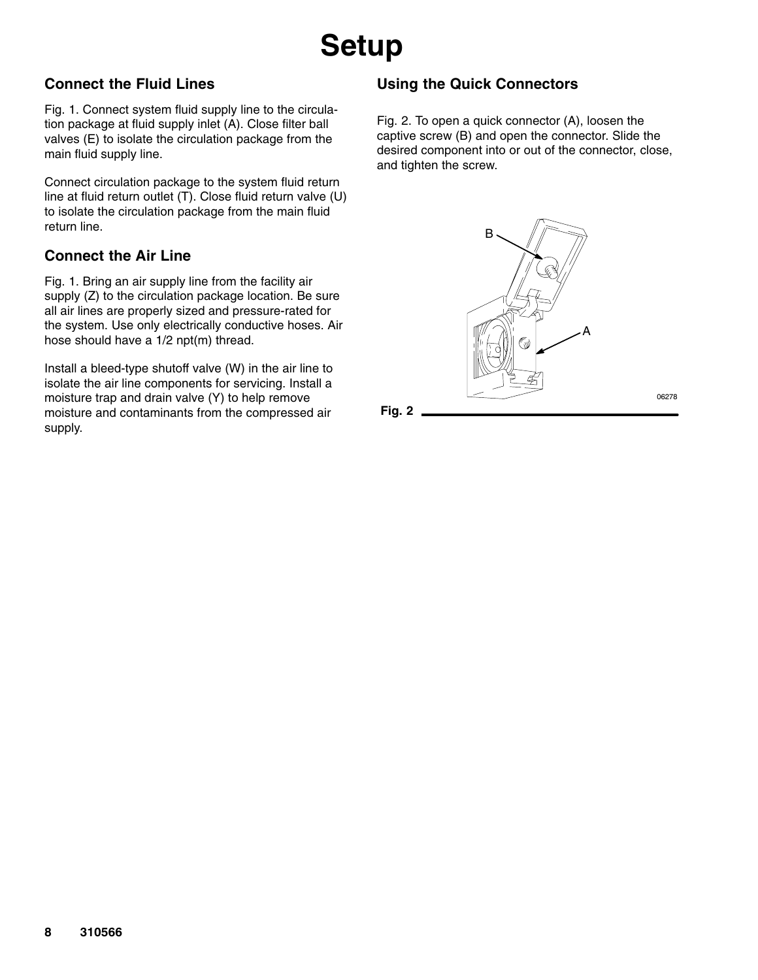### **Connect the Fluid Lines**

Fig. 1. Connect system fluid supply line to the circulation package at fluid supply inlet (A). Close filter ball valves (E) to isolate the circulation package from the main fluid supply line.

Connect circulation package to the system fluid return line at fluid return outlet (T). Close fluid return valve (U) to isolate the circulation package from the main fluid return line.

### **Connect the Air Line**

Fig. 1. Bring an air supply line from the facility air supply (Z) to the circulation package location. Be sure all air lines are properly sized and pressure-rated for the system. Use only electrically conductive hoses. Air hose should have a 1/2 npt(m) thread.

Install a bleed-type shutoff valve (W) in the air line to isolate the air line components for servicing. Install a moisture trap and drain valve (Y) to help remove moisture and contaminants from the compressed air supply.

### **Using the Quick Connectors**

Fig. 2. To open a quick connector (A), loosen the captive screw (B) and open the connector. Slide the desired component into or out of the connector, close, and tighten the screw.



06278

**Fig. 2**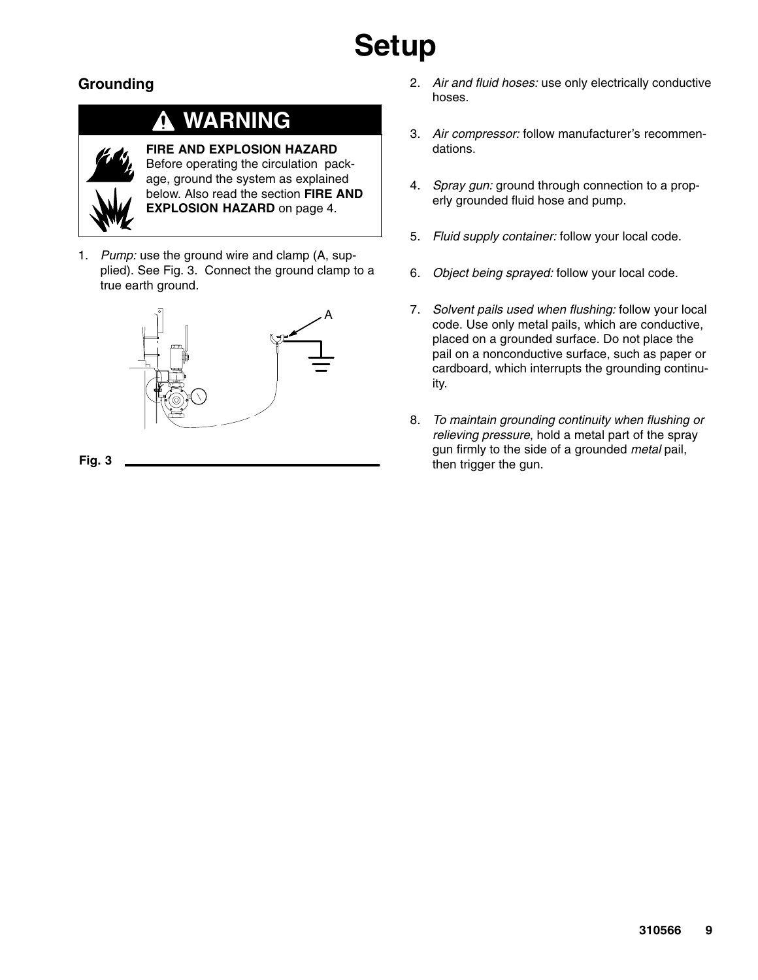### **Grounding**

### **WARNING**



**FIRE AND EXPLOSION HAZARD** Before operating the circulation package, ground the system as explained below. Also read the section **FIRE AND EXPLOSION HAZARD** on page 4.

1. *Pump:* use the ground wire and clamp (A, supplied). See Fig. 3. Connect the ground clamp to a true earth ground.



**Fig. 3**

- 2. *Air and fluid hoses:* use only electrically conductive hoses.
- 3. *Air compressor:* follow manufacturer's recommendations.
- 4. *Spray gun:* ground through connection to a properly grounded fluid hose and pump.
- 5. *Fluid supply container:* follow your local code.
- 6. *Object being sprayed:* follow your local code.
- 7. *Solvent pails used when flushing:* follow your local code. Use only metal pails, which are conductive, placed on a grounded surface. Do not place the pail on a nonconductive surface, such as paper or cardboard, which interrupts the grounding continuity.
- 8. *To maintain grounding continuity when flushing or relieving pressure*, hold a metal part of the spray gun firmly to the side of a grounded *metal* pail, then trigger the gun.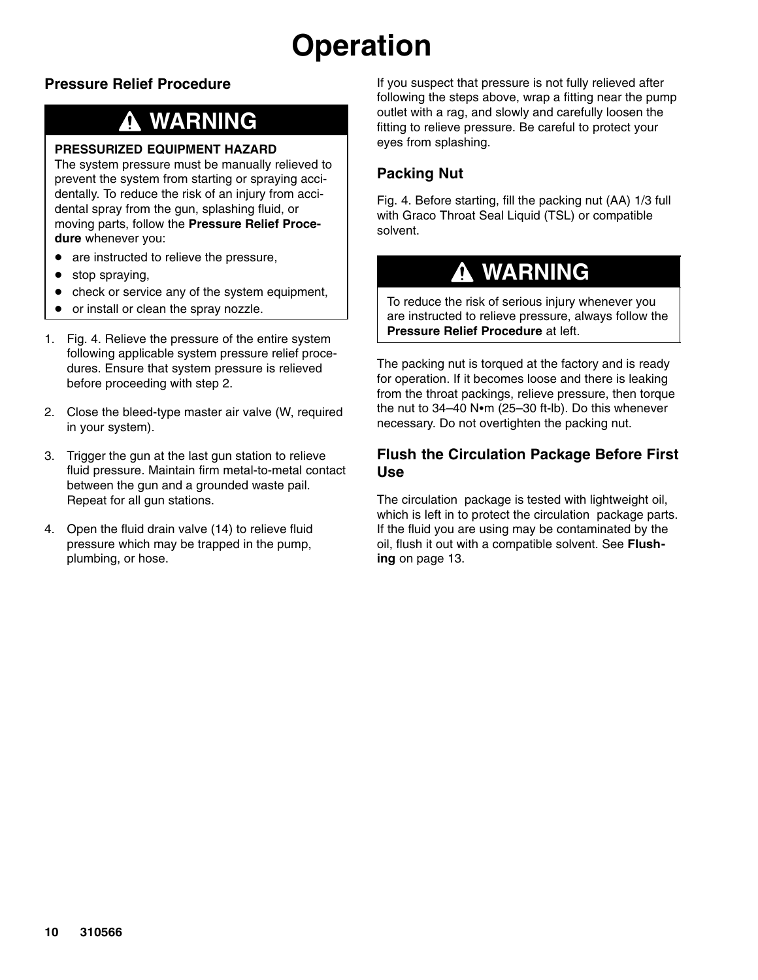## **Operation**

### **Pressure Relief Procedure**

### **WARNING**

#### **PRESSURIZED EQUIPMENT HAZARD**

The system pressure must be manually relieved to prevent the system from starting or spraying accidentally. To reduce the risk of an injury from accidental spray from the gun, splashing fluid, or moving parts, follow the **Pressure Relief Procedure** whenever you:

- $\bullet$ are instructed to relieve the pressure,
- $\bullet$ stop spraying,
- $\bullet$ check or service any of the system equipment,
- $\bullet$ or install or clean the spray nozzle.
- 1. Fig. 4. Relieve the pressure of the entire system following applicable system pressure relief procedures. Ensure that system pressure is relieved before proceeding with step 2.
- 2. Close the bleed-type master air valve (W, required in your system).
- 3. Trigger the gun at the last gun station to relieve fluid pressure. Maintain firm metal-to-metal contact between the gun and a grounded waste pail. Repeat for all gun stations.
- 4. Open the fluid drain valve (14) to relieve fluid pressure which may be trapped in the pump, plumbing, or hose.

If you suspect that pressure is not fully relieved after following the steps above, wrap a fitting near the pump outlet with a rag, and slowly and carefully loosen the fitting to relieve pressure. Be careful to protect your eyes from splashing.

### **Packing Nut**

Fig. 4. Before starting, fill the packing nut (AA) 1/3 full with Graco Throat Seal Liquid (TSL) or compatible solvent.

### **WARNING**

To reduce the risk of serious injury whenever you are instructed to relieve pressure, always follow the **Pressure Relief Procedure** at left.

The packing nut is torqued at the factory and is ready for operation. If it becomes loose and there is leaking from the throat packings, relieve pressure, then torque the nut to  $34-40$  N $\cdot$ m (25-30 ft-lb). Do this whenever necessary. Do not overtighten the packing nut.

#### **Flush the Circulation Package Before First Use**

The circulation package is tested with lightweight oil, which is left in to protect the circulation package parts. If the fluid you are using may be contaminated by the oil, flush it out with a compatible solvent. See **Flushing** on page 13.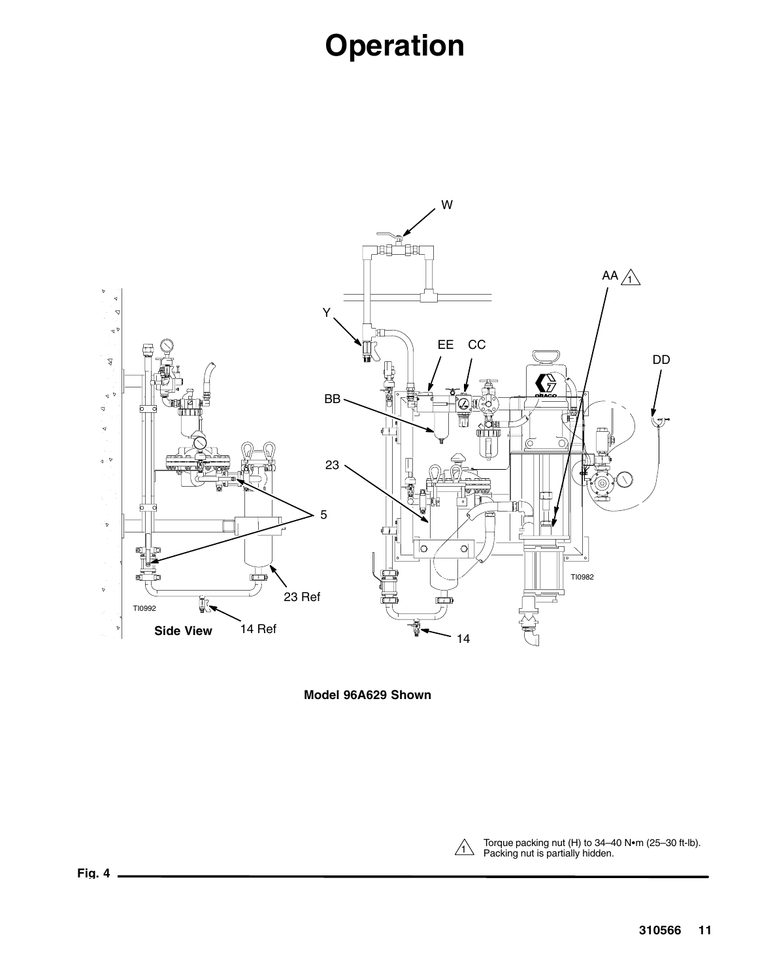## **Operation**



**Model 96A629 Shown**

Torque packing nut (H) to 34–40 N•m (25–30 ft-lb).<br>
Packing nut is partially hidden.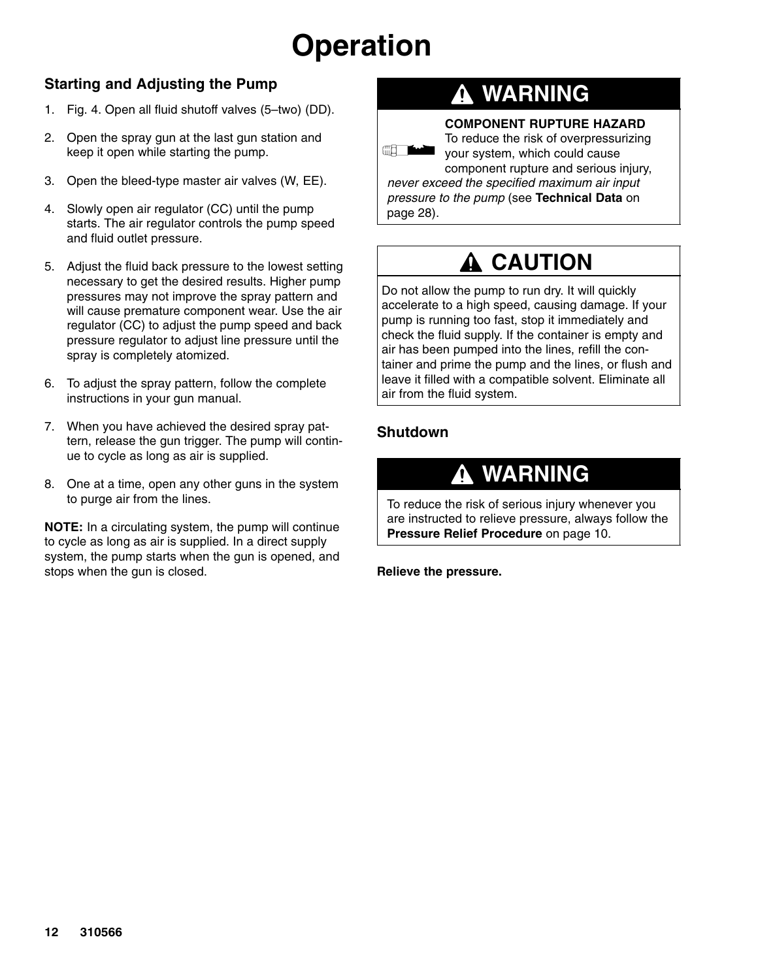## **Operation**

### **Starting and Adjusting the Pump**

- 1. Fig. 4. Open all fluid shutoff valves (5–two) (DD).
- 2. Open the spray gun at the last gun station and keep it open while starting the pump.
- 3. Open the bleed-type master air valves (W, EE).
- 4. Slowly open air regulator (CC) until the pump starts. The air regulator controls the pump speed and fluid outlet pressure.
- 5. Adjust the fluid back pressure to the lowest setting necessary to get the desired results. Higher pump pressures may not improve the spray pattern and will cause premature component wear. Use the air regulator (CC) to adjust the pump speed and back pressure regulator to adjust line pressure until the spray is completely atomized.
- 6. To adjust the spray pattern, follow the complete instructions in your gun manual.
- 7. When you have achieved the desired spray pattern, release the gun trigger. The pump will continue to cycle as long as air is supplied.
- 8. One at a time, open any other guns in the system to purge air from the lines.

**NOTE:** In a circulating system, the pump will continue to cycle as long as air is supplied. In a direct supply system, the pump starts when the gun is opened, and stops when the gun is closed.

### **WARNING**

#### **COMPONENT RUPTURE HAZARD**

**ERLY ANDREW PROPERTY** 

To reduce the risk of overpressurizing

your system, which could cause component rupture and serious injury, *never exceed the specified maximum air input pressure to the pump* (see **Technical Data** on page 28).

### **A CAUTION**

Do not allow the pump to run dry. It will quickly accelerate to a high speed, causing damage. If your pump is running too fast, stop it immediately and check the fluid supply. If the container is empty and air has been pumped into the lines, refill the container and prime the pump and the lines, or flush and leave it filled with a compatible solvent. Eliminate all air from the fluid system.

#### **Shutdown**

### **WARNING**

To reduce the risk of serious injury whenever you are instructed to relieve pressure, always follow the **Pressure Relief Procedure** on page 10.

**Relieve the pressure.**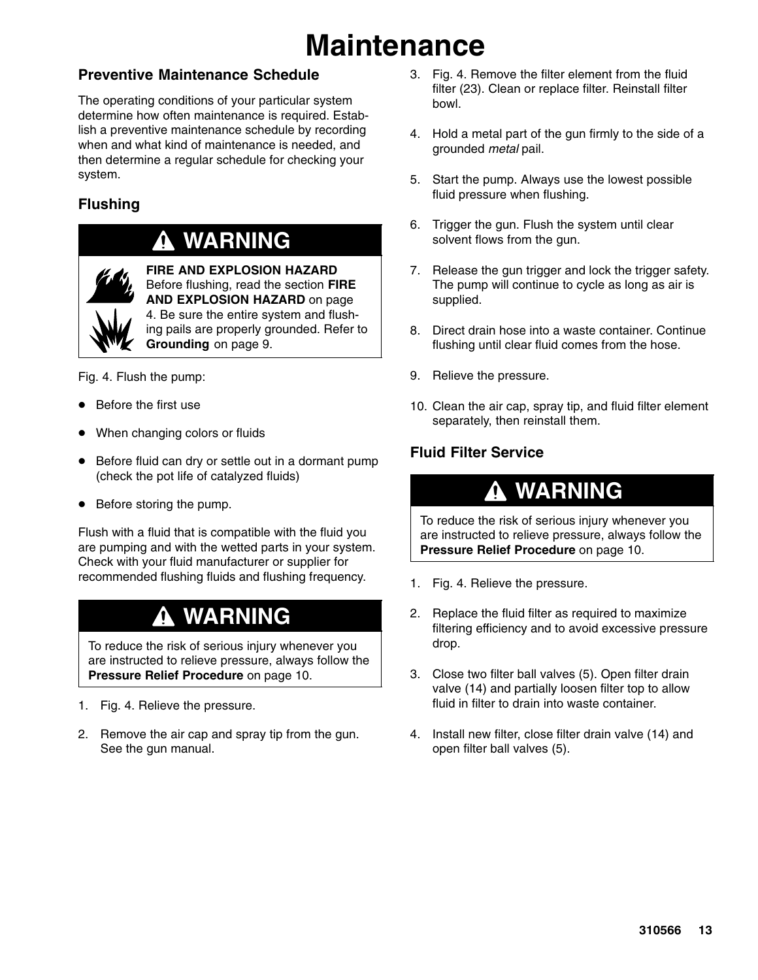## **Maintenance**

### **Preventive Maintenance Schedule**

The operating conditions of your particular system determine how often maintenance is required. Establish a preventive maintenance schedule by recording when and what kind of maintenance is needed, and then determine a regular schedule for checking your system.

### **Flushing**

### **WARNING**



**FIRE AND EXPLOSION HAZARD** Before flushing, read the section **FIRE AND EXPLOSION HAZARD** on page 4. Be sure the entire system and flushing pails are properly grounded. Refer to **Grounding** on page 9.

Fig. 4. Flush the pump:

- Before the first use
- $\bullet$ When changing colors or fluids
- $\bullet$  Before fluid can dry or settle out in a dormant pump (check the pot life of catalyzed fluids)
- Before storing the pump.

Flush with a fluid that is compatible with the fluid you are pumping and with the wetted parts in your system. Check with your fluid manufacturer or supplier for recommended flushing fluids and flushing frequency.

### **WARNING**

To reduce the risk of serious injury whenever you are instructed to relieve pressure, always follow the **Pressure Relief Procedure** on page 10.

- 1. Fig. 4. Relieve the pressure.
- 2. Remove the air cap and spray tip from the gun. See the gun manual.
- 3. Fig. 4. Remove the filter element from the fluid filter (23). Clean or replace filter. Reinstall filter bowl.
- 4. Hold a metal part of the gun firmly to the side of a grounded *metal* pail.
- 5. Start the pump. Always use the lowest possible fluid pressure when flushing.
- 6. Trigger the gun. Flush the system until clear solvent flows from the gun.
- 7. Release the gun trigger and lock the trigger safety. The pump will continue to cycle as long as air is supplied.
- 8. Direct drain hose into a waste container. Continue flushing until clear fluid comes from the hose.
- 9. Relieve the pressure.
- 10. Clean the air cap, spray tip, and fluid filter element separately, then reinstall them.

### **Fluid Filter Service**

### **WARNING**

To reduce the risk of serious injury whenever you are instructed to relieve pressure, always follow the **Pressure Relief Procedure** on page 10.

- 1. Fig. 4. Relieve the pressure.
- 2. Replace the fluid filter as required to maximize filtering efficiency and to avoid excessive pressure drop.
- 3. Close two filter ball valves (5). Open filter drain valve (14) and partially loosen filter top to allow fluid in filter to drain into waste container.
- 4. Install new filter, close filter drain valve (14) and open filter ball valves (5).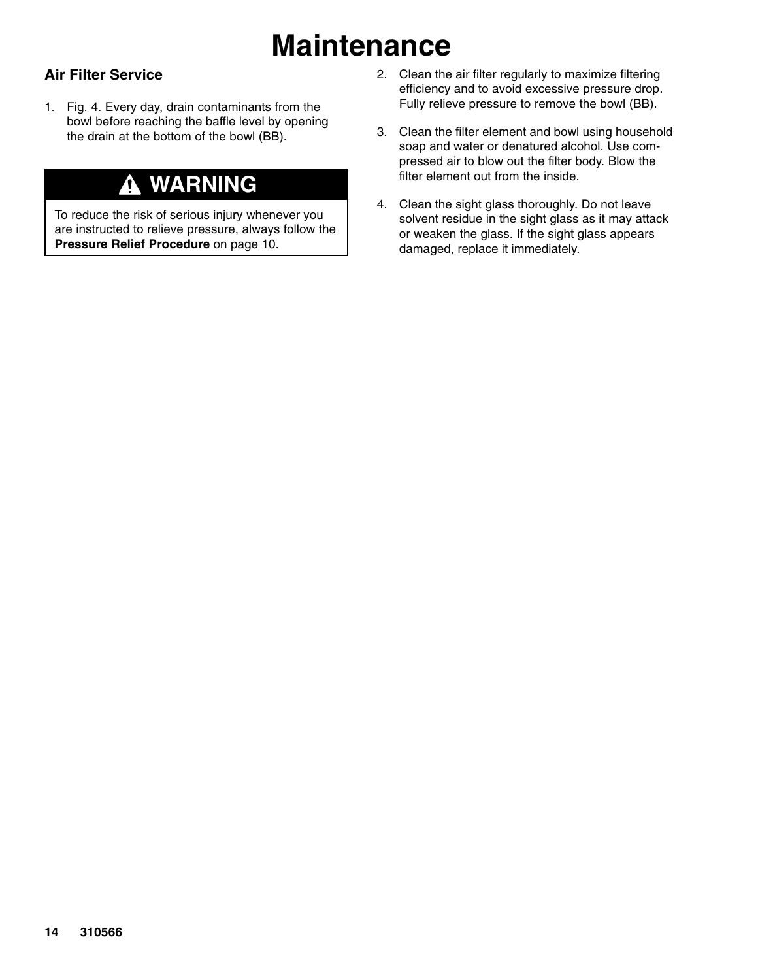## **Maintenance**

### **Air Filter Service**

1. Fig. 4. Every day, drain contaminants from the bowl before reaching the baffle level by opening the drain at the bottom of the bowl (BB).

### **WARNING**

To reduce the risk of serious injury whenever you are instructed to relieve pressure, always follow the **Pressure Relief Procedure** on page 10.

- 2. Clean the air filter regularly to maximize filtering efficiency and to avoid excessive pressure drop. Fully relieve pressure to remove the bowl (BB).
- 3. Clean the filter element and bowl using household soap and water or denatured alcohol. Use compressed air to blow out the filter body. Blow the filter element out from the inside.
- 4. Clean the sight glass thoroughly. Do not leave solvent residue in the sight glass as it may attack or weaken the glass. If the sight glass appears damaged, replace it immediately.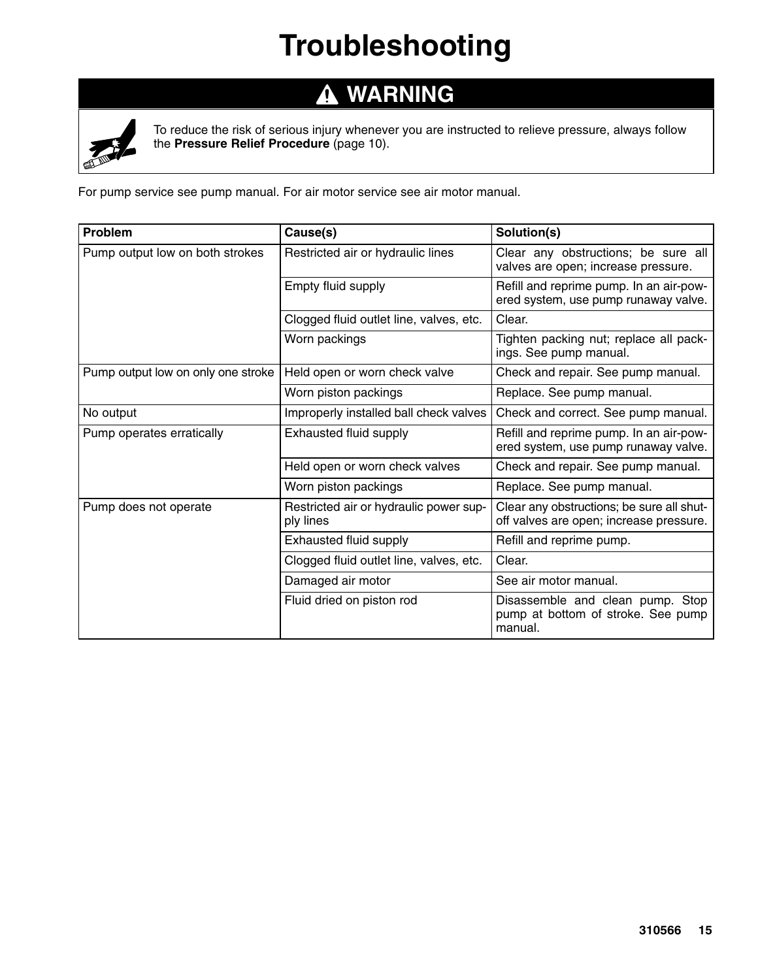## **Troubleshooting**

#### **WARNING**  $\Delta$



To reduce the risk of serious injury whenever you are instructed to relieve pressure, always follow the **Pressure Relief Procedure** (page 10).

For pump service see pump manual. For air motor service see air motor manual.

| <b>Problem</b>                     | Cause(s)                                            | Solution(s)                                                                          |
|------------------------------------|-----------------------------------------------------|--------------------------------------------------------------------------------------|
| Pump output low on both strokes    | Restricted air or hydraulic lines                   | Clear any obstructions; be sure all<br>valves are open; increase pressure.           |
|                                    | Empty fluid supply                                  | Refill and reprime pump. In an air-pow-<br>ered system, use pump runaway valve.      |
|                                    | Clogged fluid outlet line, valves, etc.             | Clear.                                                                               |
|                                    | Worn packings                                       | Tighten packing nut; replace all pack-<br>ings. See pump manual.                     |
| Pump output low on only one stroke | Held open or worn check valve                       | Check and repair. See pump manual.                                                   |
|                                    | Worn piston packings                                | Replace. See pump manual.                                                            |
| No output                          | Improperly installed ball check valves              | Check and correct. See pump manual.                                                  |
| Pump operates erratically          | Exhausted fluid supply                              | Refill and reprime pump. In an air-pow-<br>ered system, use pump runaway valve.      |
|                                    | Held open or worn check valves                      | Check and repair. See pump manual.                                                   |
|                                    | Worn piston packings                                | Replace. See pump manual.                                                            |
| Pump does not operate              | Restricted air or hydraulic power sup-<br>ply lines | Clear any obstructions; be sure all shut-<br>off valves are open; increase pressure. |
|                                    | Exhausted fluid supply                              | Refill and reprime pump.                                                             |
|                                    | Clogged fluid outlet line, valves, etc.             | Clear.                                                                               |
|                                    | Damaged air motor                                   | See air motor manual.                                                                |
|                                    | Fluid dried on piston rod                           | Disassemble and clean pump. Stop<br>pump at bottom of stroke. See pump<br>manual.    |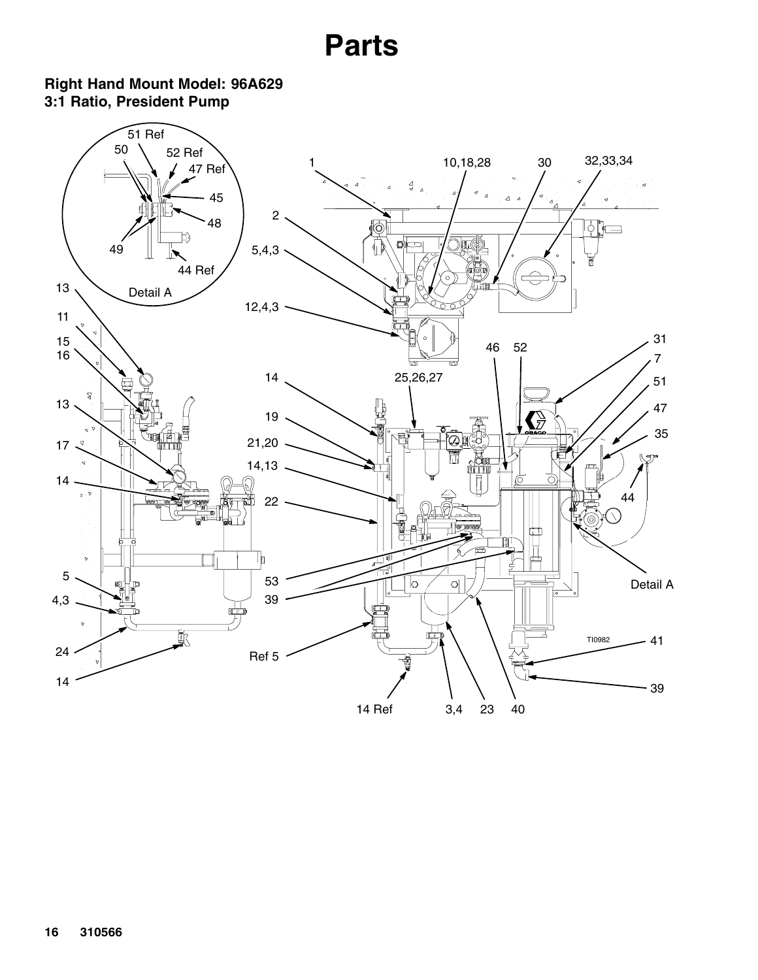### <span id="page-15-0"></span>**Right Hand Mount Model: 96A629 3:1 Ratio, President Pump**

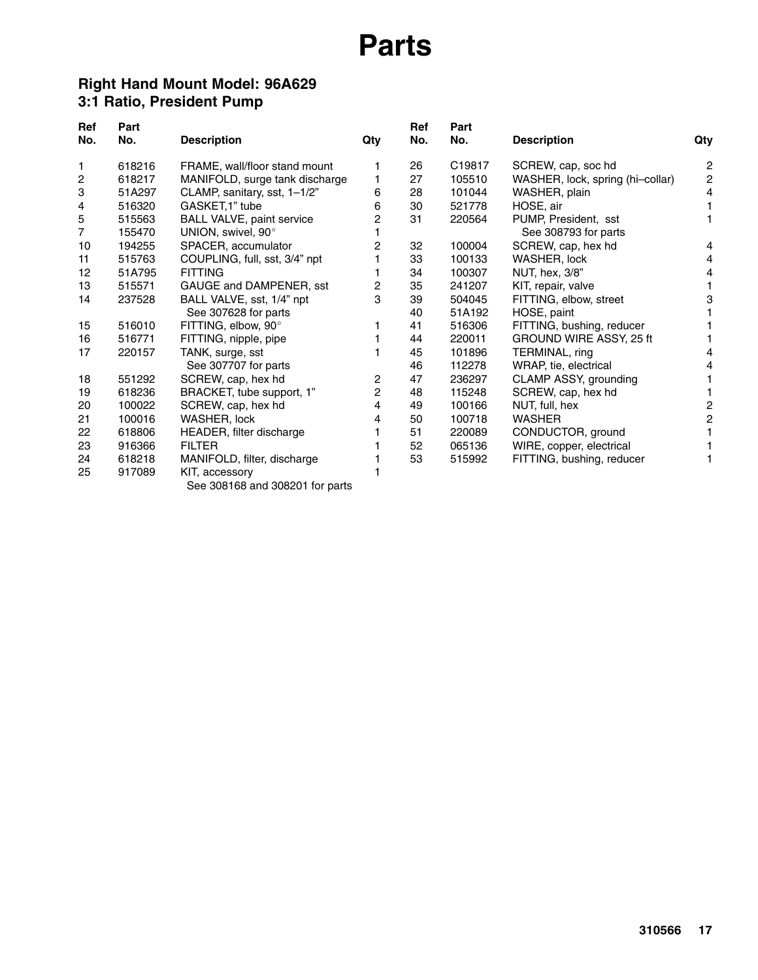#### **Right Hand Mount Model: 96A629 3:1 Ratio, President Pump**

| <b>Ref</b><br>No.   | Part<br>No.      | <b>Description</b>                              | Qty | <b>Ref</b><br>No. | Part<br>No. | <b>Description</b>               | Qty            |
|---------------------|------------------|-------------------------------------------------|-----|-------------------|-------------|----------------------------------|----------------|
| 1                   | 618216           | FRAME, wall/floor stand mount                   |     | 26                | C19817      | SCREW, cap, soc hd               | 2              |
| 2                   | 618217           | MANIFOLD, surge tank discharge                  |     | 27                | 105510      | WASHER, lock, spring (hi-collar) | $\overline{c}$ |
|                     | 51A297           |                                                 | 6   | 28                | 101044      | WASHER, plain                    | 4              |
| 3                   | 516320           | CLAMP, sanitary, sst, 1-1/2"<br>GASKET, 1" tube | 6   | 30                | 521778      | HOSE, air                        |                |
| 4                   |                  |                                                 |     |                   |             |                                  |                |
| 5<br>$\overline{7}$ | 515563<br>155470 | <b>BALL VALVE, paint service</b>                | 2   | 31                | 220564      | PUMP, President, sst             |                |
|                     |                  | UNION, swivel, 90°                              |     |                   |             | See 308793 for parts             |                |
| 10                  | 194255           | SPACER, accumulator                             | 2   | 32                | 100004      | SCREW, cap, hex hd               | 4              |
| 11                  | 515763           | COUPLING, full, sst, 3/4" npt                   |     | 33                | 100133      | WASHER, lock                     | 4              |
| 12                  | 51A795           | <b>FITTING</b>                                  |     | 34                | 100307      | NUT, hex, 3/8"                   | 4              |
| 13                  | 515571           | GAUGE and DAMPENER, sst                         | 2   | 35                | 241207      | KIT, repair, valve               |                |
| 14                  | 237528           | BALL VALVE, sst, 1/4" npt                       | 3   | 39                | 504045      | FITTING, elbow, street           | 3              |
|                     |                  | See 307628 for parts                            |     | 40                | 51A192      | HOSE, paint                      |                |
| 15                  | 516010           | FITTING, elbow, 90°                             |     | 41                | 516306      | FITTING, bushing, reducer        |                |
| 16                  | 516771           | FITTING, nipple, pipe                           |     | 44                | 220011      | GROUND WIRE ASSY, 25 ft          |                |
| 17                  | 220157           | TANK, surge, sst                                |     | 45                | 101896      | TERMINAL, ring                   | 4              |
|                     |                  | See 307707 for parts                            |     | 46                | 112278      | WRAP, tie, electrical            | 4              |
| 18                  | 551292           | SCREW, cap, hex hd                              | 2   | 47                | 236297      | CLAMP ASSY, grounding            |                |
| 19                  | 618236           | BRACKET, tube support, 1"                       | 2   | 48                | 115248      | SCREW, cap, hex hd               |                |
| 20                  | 100022           | SCREW, cap, hex hd                              | 4   | 49                | 100166      | NUT, full, hex                   | 2              |
| 21                  | 100016           | WASHER, lock                                    | 4   | 50                | 100718      | <b>WASHER</b>                    | $\overline{c}$ |
| 22                  | 618806           | HEADER, filter discharge                        |     | 51                | 220089      | CONDUCTOR, ground                |                |
| 23                  | 916366           | <b>FILTER</b>                                   |     | 52                | 065136      | WIRE, copper, electrical         |                |
| 24                  | 618218           | MANIFOLD, filter, discharge                     |     | 53                | 515992      | FITTING, bushing, reducer        |                |
| 25                  | 917089           | KIT, accessory                                  |     |                   |             |                                  |                |

See 308168 and 308201 for parts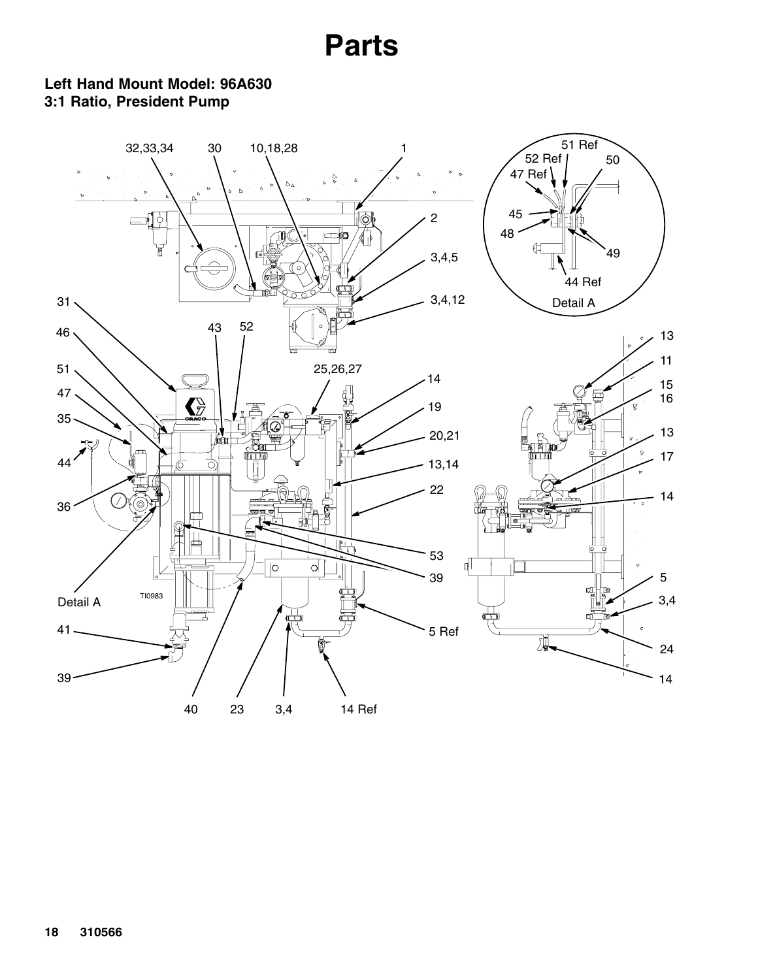#### **Left Hand Mount Model: 96A630 3:1 Ratio, President Pump**

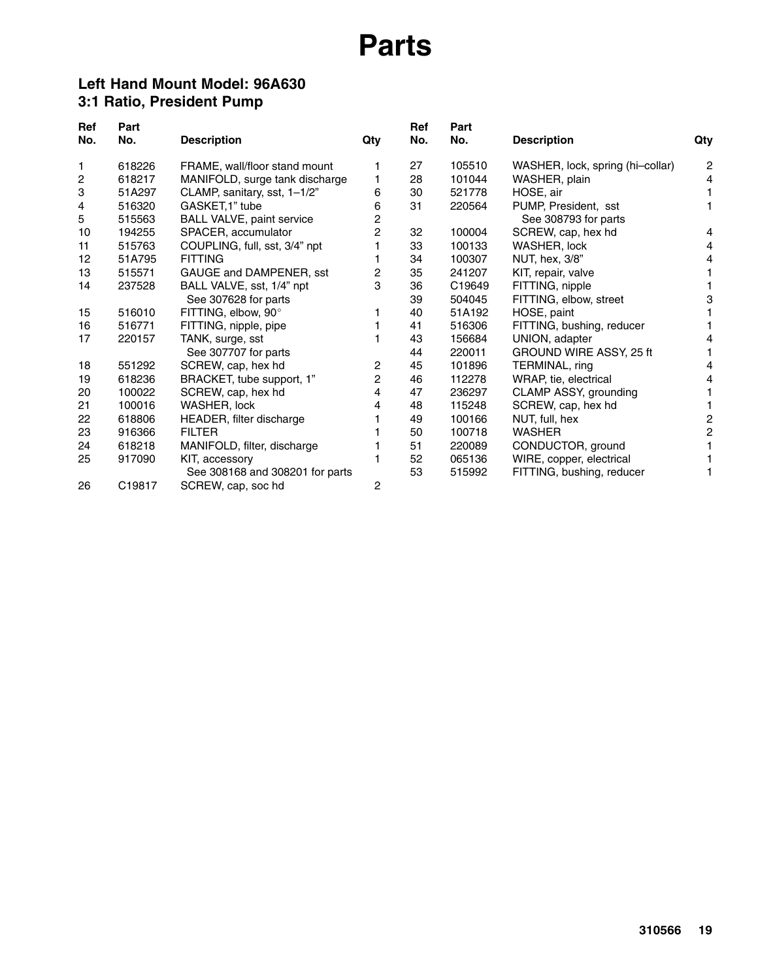#### **Left Hand Mount Model: 96A630 3:1 Ratio, President Pump**

| Ref | Part   |                                  |                | Ref | Part   |                                  |                |
|-----|--------|----------------------------------|----------------|-----|--------|----------------------------------|----------------|
| No. | No.    | <b>Description</b>               | Qty            | No. | No.    | <b>Description</b>               | Qty            |
| 1   | 618226 | FRAME, wall/floor stand mount    |                | 27  | 105510 | WASHER, lock, spring (hi-collar) | $\overline{c}$ |
| 2   | 618217 | MANIFOLD, surge tank discharge   |                | 28  | 101044 | WASHER, plain                    | 4              |
| 3   | 51A297 | CLAMP, sanitary, sst, 1-1/2"     | 6              | 30  | 521778 | HOSE, air                        |                |
| 4   | 516320 | GASKET, 1" tube                  | 6              | 31  | 220564 | PUMP, President, sst             |                |
| 5   | 515563 | <b>BALL VALVE, paint service</b> | 2              |     |        | See 308793 for parts             |                |
| 10  | 194255 | SPACER, accumulator              | $\overline{2}$ | 32  | 100004 | SCREW, cap, hex hd               | 4              |
| 11  | 515763 | COUPLING, full, sst, 3/4" npt    |                | 33  | 100133 | WASHER, lock                     | 4              |
| 12  | 51A795 | <b>FITTING</b>                   |                | 34  | 100307 | NUT, hex, 3/8"                   | 4              |
| 13  | 515571 | GAUGE and DAMPENER, sst          | 2              | 35  | 241207 | KIT, repair, valve               |                |
| 14  | 237528 | BALL VALVE, sst, 1/4" npt        | 3              | 36  | C19649 | FITTING, nipple                  |                |
|     |        | See 307628 for parts             |                | 39  | 504045 | FITTING, elbow, street           | 3              |
| 15  | 516010 | FITTING, elbow, 90°              |                | 40  | 51A192 | HOSE, paint                      |                |
| 16  | 516771 | FITTING, nipple, pipe            |                | 41  | 516306 | FITTING, bushing, reducer        |                |
| 17  | 220157 | TANK, surge, sst                 |                | 43  | 156684 | UNION, adapter                   | 4              |
|     |        | See 307707 for parts             |                | 44  | 220011 | GROUND WIRE ASSY, 25 ft          |                |
| 18  | 551292 | SCREW, cap, hex hd               | 2              | 45  | 101896 | TERMINAL, ring                   | 4              |
| 19  | 618236 | BRACKET, tube support, 1"        | 2              | 46  | 112278 | WRAP, tie, electrical            | 4              |
| 20  | 100022 | SCREW, cap, hex hd               | 4              | 47  | 236297 | CLAMP ASSY, grounding            |                |
| 21  | 100016 | WASHER, lock                     | 4              | 48  | 115248 | SCREW, cap, hex hd               |                |
| 22  | 618806 | HEADER, filter discharge         |                | 49  | 100166 | NUT, full, hex                   | 2              |
| 23  | 916366 | <b>FILTER</b>                    |                | 50  | 100718 | <b>WASHER</b>                    | 2              |
| 24  | 618218 | MANIFOLD, filter, discharge      |                | 51  | 220089 | CONDUCTOR, ground                |                |
| 25  | 917090 | KIT, accessory                   |                | 52  | 065136 | WIRE, copper, electrical         |                |
|     |        | See 308168 and 308201 for parts  |                | 53  | 515992 | FITTING, bushing, reducer        |                |
| 26  | C19817 | SCREW, cap, soc hd               | 2              |     |        |                                  |                |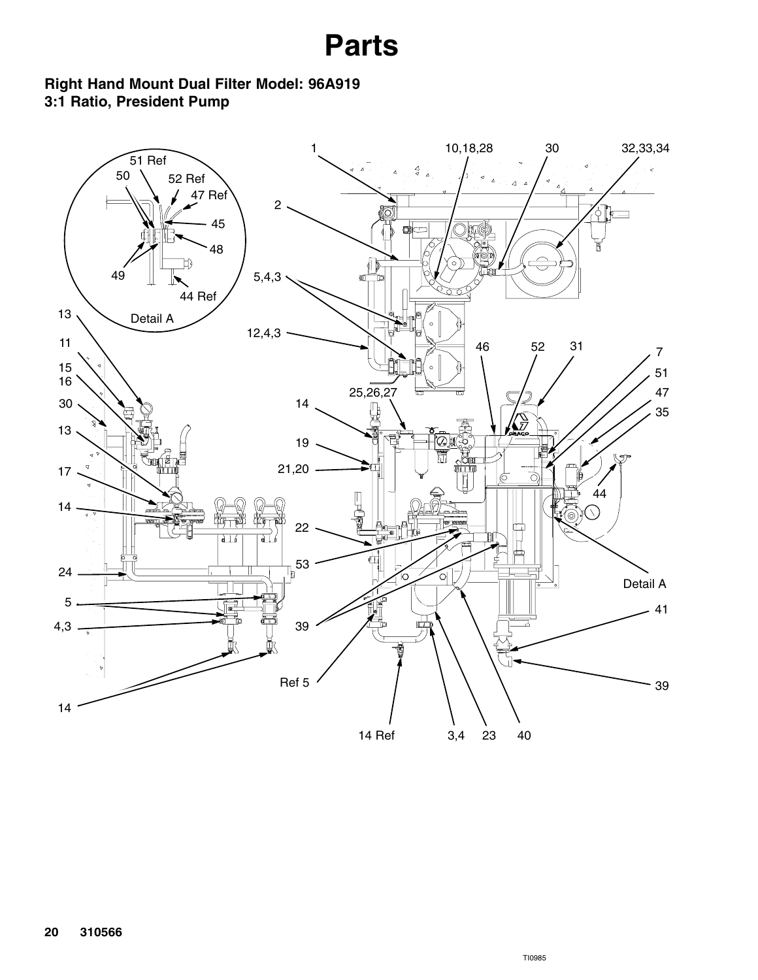### **Right Hand Mount Dual Filter Model: 96A919 3:1 Ratio, President Pump**

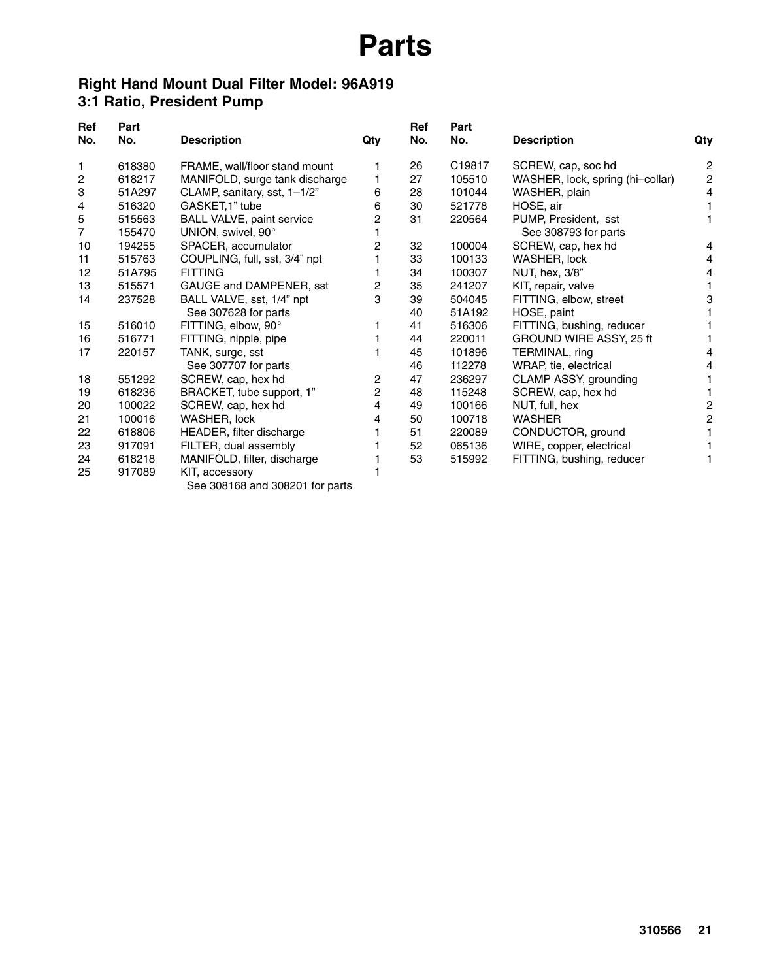### **Right Hand Mount Dual Filter Model: 96A919 3:1 Ratio, President Pump**

| <b>Ref</b><br>No. | Part<br>No. | <b>Description</b>             | Qty | Ref<br>No. | Part<br>No. | <b>Description</b>               | Qty |
|-------------------|-------------|--------------------------------|-----|------------|-------------|----------------------------------|-----|
| 1                 | 618380      | FRAME, wall/floor stand mount  |     | 26         | C19817      | SCREW, cap, soc hd               | 2   |
| 2                 | 618217      | MANIFOLD, surge tank discharge |     | 27         | 105510      | WASHER, lock, spring (hi-collar) | 2   |
| 3                 | 51A297      | CLAMP, sanitary, sst, 1-1/2"   | 6   | 28         | 101044      | WASHER, plain                    | 4   |
| 4                 | 516320      | GASKET, 1" tube                | 6   | 30         | 521778      | HOSE, air                        |     |
| 5                 | 515563      | BALL VALVE, paint service      | 2   | 31         | 220564      | PUMP, President, sst             |     |
| 7                 | 155470      | UNION, swivel, 90°             |     |            |             | See 308793 for parts             |     |
| 10                | 194255      | SPACER, accumulator            | 2   | 32         | 100004      | SCREW, cap, hex hd               | 4   |
| 11                | 515763      | COUPLING, full, sst, 3/4" npt  |     | 33         | 100133      | WASHER, lock                     | 4   |
| 12                | 51A795      | <b>FITTING</b>                 |     | 34         | 100307      | NUT, hex, 3/8"                   | 4   |
| 13                | 515571      | GAUGE and DAMPENER, sst        | 2   | 35         | 241207      | KIT, repair, valve               |     |
| 14                | 237528      | BALL VALVE, sst, 1/4" npt      | 3   | 39         | 504045      | FITTING, elbow, street           | 3   |
|                   |             | See 307628 for parts           |     | 40         | 51A192      | HOSE, paint                      |     |
| 15                | 516010      | FITTING, elbow, 90°            |     | 41         | 516306      | FITTING, bushing, reducer        |     |
| 16                | 516771      | FITTING, nipple, pipe          |     | 44         | 220011      | GROUND WIRE ASSY, 25 ft          |     |
| 17                | 220157      | TANK, surge, sst               |     | 45         | 101896      | TERMINAL, ring                   | 4   |
|                   |             | See 307707 for parts           |     | 46         | 112278      | WRAP, tie, electrical            | 4   |
| 18                | 551292      | SCREW, cap, hex hd             | 2   | 47         | 236297      | CLAMP ASSY, grounding            |     |
| 19                | 618236      | BRACKET, tube support, 1"      | 2   | 48         | 115248      | SCREW, cap, hex hd               |     |
| 20                | 100022      | SCREW, cap, hex hd             | 4   | 49         | 100166      | NUT, full, hex                   | 2   |
| 21                | 100016      | WASHER, lock                   | 4   | 50         | 100718      | <b>WASHER</b>                    | 2   |
| 22                | 618806      | HEADER, filter discharge       |     | 51         | 220089      | CONDUCTOR, ground                |     |
| 23                | 917091      | FILTER, dual assembly          |     | 52         | 065136      | WIRE, copper, electrical         |     |
| 24                | 618218      | MANIFOLD, filter, discharge    |     | 53         | 515992      | FITTING, bushing, reducer        |     |
| 25                | 917089      | KIT, accessory                 |     |            |             |                                  |     |

See 308168 and 308201 for parts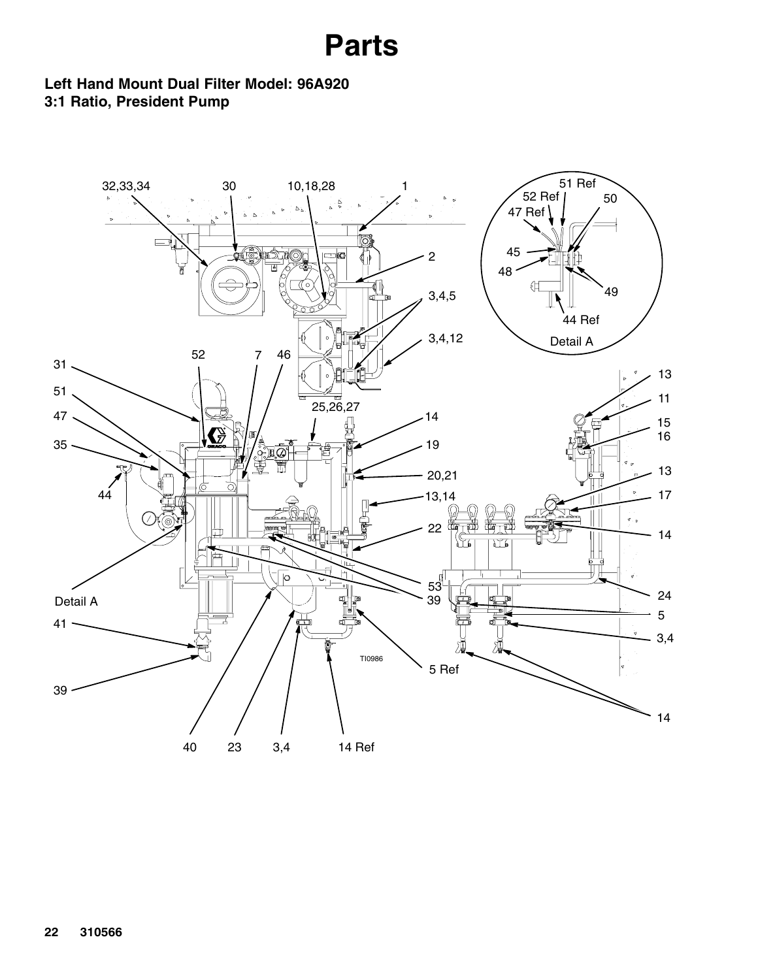**Left Hand Mount Dual Filter Model: 96A920 3:1 Ratio, President Pump**

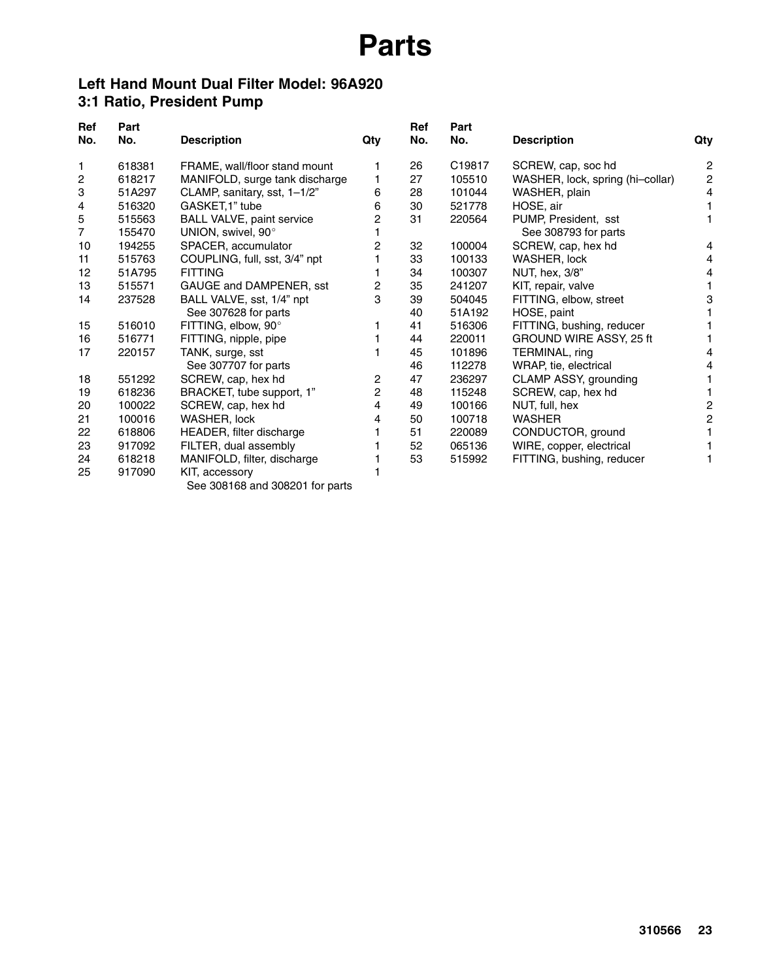#### **Left Hand Mount Dual Filter Model: 96A920 3:1 Ratio, President Pump**

| Ref<br>No. | Part<br>No. | <b>Description</b>               | Qty | Ref<br>No. | Part<br>No. | <b>Description</b>               |                  |
|------------|-------------|----------------------------------|-----|------------|-------------|----------------------------------|------------------|
|            |             |                                  |     |            |             |                                  | Qty              |
| 1          | 618381      | FRAME, wall/floor stand mount    |     | 26         | C19817      | SCREW, cap, soc hd               | 2                |
| 2          | 618217      | MANIFOLD, surge tank discharge   |     | 27         | 105510      | WASHER, lock, spring (hi-collar) | $\boldsymbol{2}$ |
| 3          | 51A297      | CLAMP, sanitary, sst, 1-1/2"     | 6   | 28         | 101044      | WASHER, plain                    | 4                |
| 4          | 516320      | GASKET, 1" tube                  | 6   | 30         | 521778      | HOSE, air                        |                  |
| 5          | 515563      | <b>BALL VALVE, paint service</b> | 2   | 31         | 220564      | PUMP, President, sst             |                  |
| 7          | 155470      | UNION, swivel, 90°               |     |            |             | See 308793 for parts             |                  |
| 10         | 194255      | SPACER, accumulator              | 2   | 32         | 100004      | SCREW, cap, hex hd               | 4                |
| 11         | 515763      | COUPLING, full, sst, 3/4" npt    |     | 33         | 100133      | WASHER, lock                     | 4                |
| 12         | 51A795      | <b>FITTING</b>                   |     | 34         | 100307      | NUT, hex, 3/8"                   | 4                |
| 13         | 515571      | GAUGE and DAMPENER, sst          | 2   | 35         | 241207      | KIT, repair, valve               |                  |
| 14         | 237528      | BALL VALVE, sst, 1/4" npt        | 3   | 39         | 504045      | FITTING, elbow, street           | 3                |
|            |             | See 307628 for parts             |     | 40         | 51A192      | HOSE, paint                      |                  |
| 15         | 516010      | FITTING, elbow, 90°              |     | 41         | 516306      | FITTING, bushing, reducer        |                  |
| 16         | 516771      | FITTING, nipple, pipe            |     | 44         | 220011      | GROUND WIRE ASSY, 25 ft          |                  |
| 17         | 220157      | TANK, surge, sst                 |     | 45         | 101896      | TERMINAL, ring                   | 4                |
|            |             | See 307707 for parts             |     | 46         | 112278      | WRAP, tie, electrical            | 4                |
| 18         | 551292      | SCREW, cap, hex hd               | 2   | 47         | 236297      | CLAMP ASSY, grounding            |                  |
| 19         | 618236      | BRACKET, tube support, 1"        | 2   | 48         | 115248      | SCREW, cap, hex hd               |                  |
| 20         | 100022      | SCREW, cap, hex hd               | 4   | 49         | 100166      | NUT, full, hex                   | 2                |
| 21         | 100016      | WASHER, lock                     | 4   | 50         | 100718      | <b>WASHER</b>                    | 2                |
| 22         | 618806      | HEADER, filter discharge         |     | 51         | 220089      | CONDUCTOR, ground                |                  |
| 23         | 917092      | FILTER, dual assembly            |     | 52         | 065136      | WIRE, copper, electrical         |                  |
| 24         | 618218      | MANIFOLD, filter, discharge      |     | 53         | 515992      | FITTING, bushing, reducer        |                  |
| 25         | 917090      | KIT, accessory                   |     |            |             |                                  |                  |

See 308168 and 308201 for parts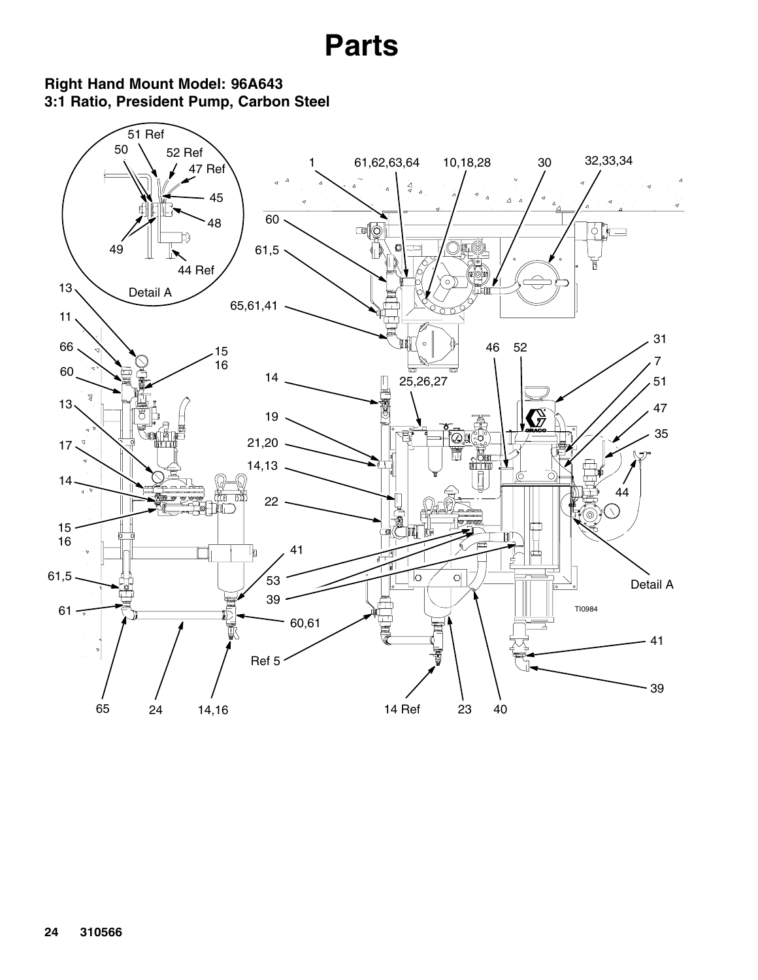**Right Hand Mount Model: 96A643 3:1 Ratio, President Pump, Carbon Steel**

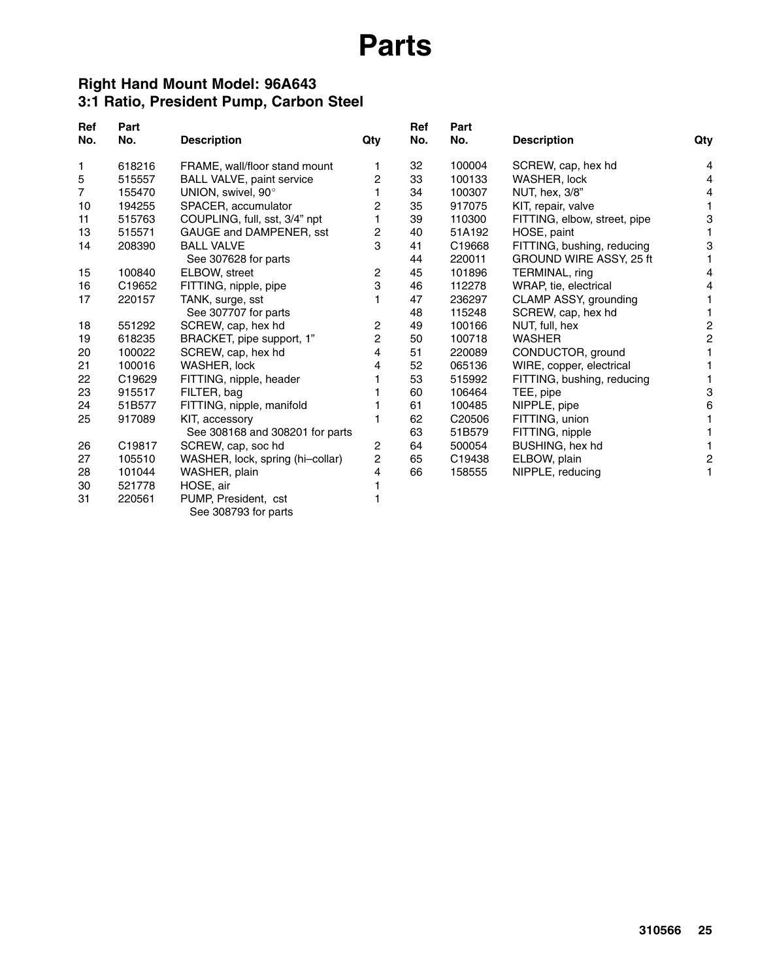#### **Right Hand Mount Model: 96A643 3:1 Ratio, President Pump, Carbon Steel**

| <b>Ref</b><br>No. | Part<br>No. | <b>Description</b>               | Qty | Ref<br>No. | Part<br>No.        | <b>Description</b>           | Qty            |
|-------------------|-------------|----------------------------------|-----|------------|--------------------|------------------------------|----------------|
| 1                 | 618216      | FRAME, wall/floor stand mount    | 1   | 32         | 100004             | SCREW, cap, hex hd           | 4              |
| 5                 | 515557      | BALL VALVE, paint service        | 2   | 33         | 100133             | <b>WASHER, lock</b>          | 4              |
| $\overline{7}$    | 155470      | UNION, swivel, 90°               |     | 34         | 100307             | NUT, hex, 3/8"               | 4              |
| 10                | 194255      | SPACER, accumulator              | 2   | 35         | 917075             | KIT, repair, valve           |                |
| 11                | 515763      | COUPLING, full, sst, 3/4" npt    |     | 39         | 110300             | FITTING, elbow, street, pipe | 3              |
| 13                | 515571      | GAUGE and DAMPENER, sst          | 2   | 40         | 51A192             | HOSE, paint                  |                |
| 14                | 208390      | <b>BALL VALVE</b>                | 3   | 41         | C19668             | FITTING, bushing, reducing   | 3              |
|                   |             | See 307628 for parts             |     | 44         | 220011             | GROUND WIRE ASSY, 25 ft      |                |
| 15                | 100840      | ELBOW, street                    | 2   | 45         | 101896             | TERMINAL, ring               | 4              |
| 16                | C19652      | FITTING, nipple, pipe            | 3   | 46         | 112278             | WRAP, tie, electrical        |                |
| 17                | 220157      | TANK, surge, sst                 |     | 47         | 236297             | CLAMP ASSY, grounding        |                |
|                   |             | See 307707 for parts             |     | 48         | 115248             | SCREW, cap, hex hd           |                |
| 18                | 551292      | SCREW, cap, hex hd               | 2   | 49         | 100166             | NUT, full, hex               | 2              |
| 19                | 618235      | BRACKET, pipe support, 1"        | 2   | 50         | 100718             | <b>WASHER</b>                | $\overline{c}$ |
| 20                | 100022      | SCREW, cap, hex hd               | 4   | 51         | 220089             | CONDUCTOR, ground            |                |
| 21                | 100016      | WASHER, lock                     | 4   | 52         | 065136             | WIRE, copper, electrical     |                |
| 22                | C19629      | FITTING, nipple, header          |     | 53         | 515992             | FITTING, bushing, reducing   |                |
| 23                | 915517      | FILTER, bag                      |     | 60         | 106464             | TEE, pipe                    | 3              |
| 24                | 51B577      | FITTING, nipple, manifold        |     | 61         | 100485             | NIPPLE, pipe                 | 6              |
| 25                | 917089      | KIT, accessory                   |     | 62         | C <sub>20506</sub> | FITTING, union               |                |
|                   |             | See 308168 and 308201 for parts  |     | 63         | 51B579             | FITTING, nipple              |                |
| 26                | C19817      | SCREW, cap, soc hd               | 2   | 64         | 500054             | BUSHING, hex hd              |                |
| 27                | 105510      | WASHER, lock, spring (hi-collar) | 2   | 65         | C19438             | ELBOW, plain                 | $\overline{c}$ |
| 28                | 101044      | WASHER, plain                    | 4   | 66         | 158555             | NIPPLE, reducing             |                |
| 30                | 521778      | HOSE, air                        |     |            |                    |                              |                |
| 31                | 220561      | PUMP, President, cst             |     |            |                    |                              |                |

See 308793 for parts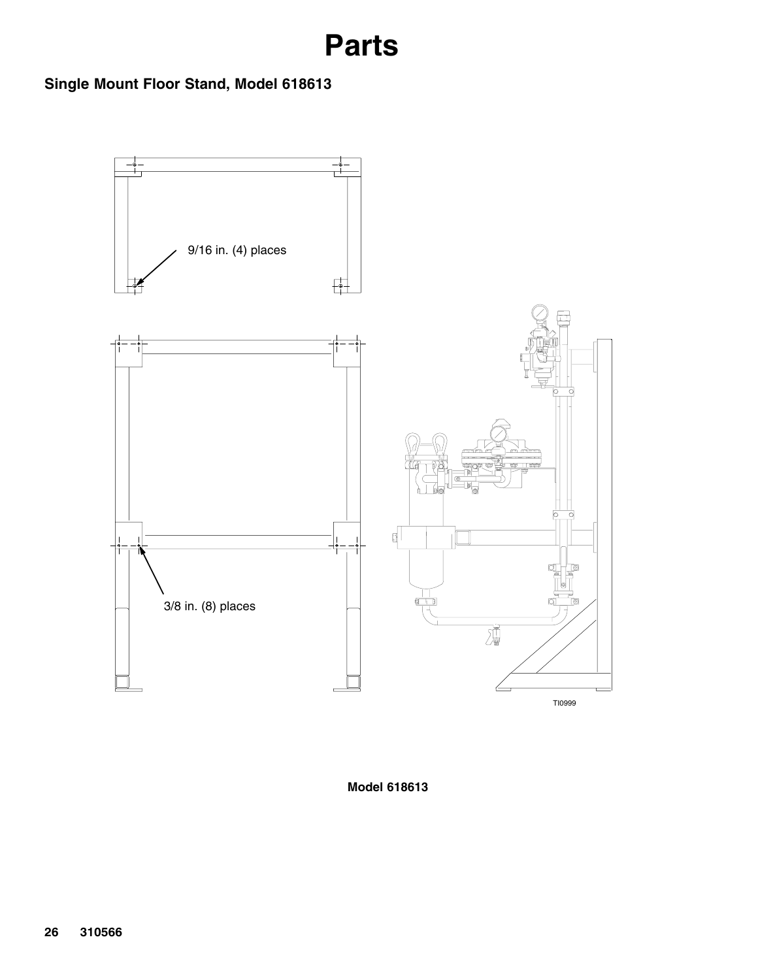### **Single Mount Floor Stand, Model 618613**



**Model 618613**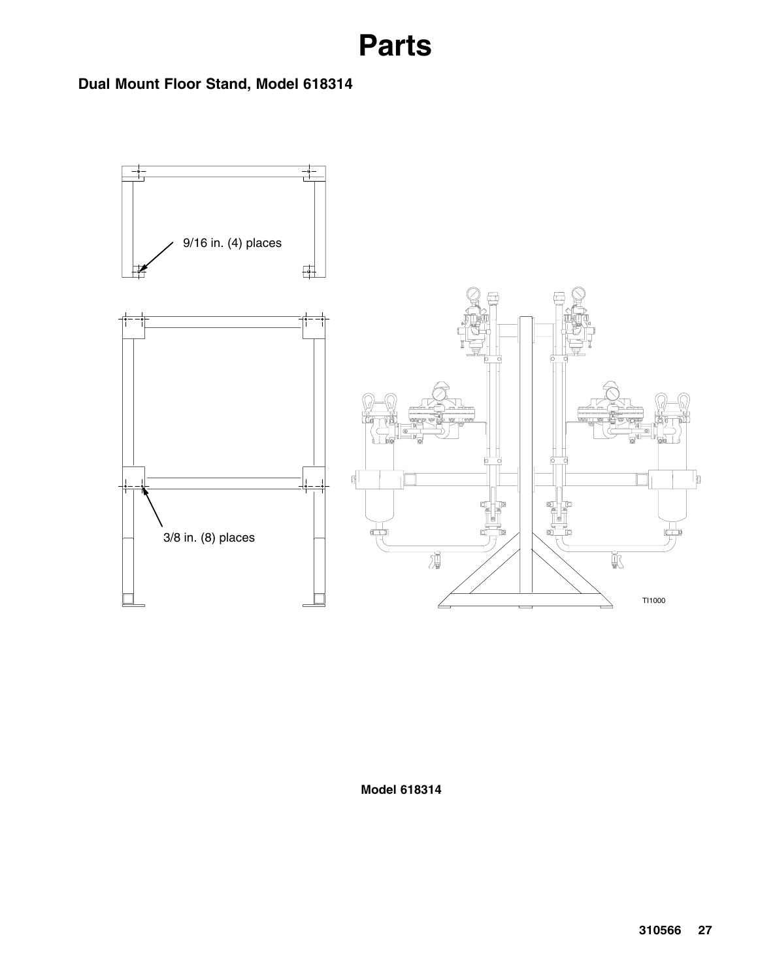**Dual Mount Floor Stand, Model 618314**



**Model 618314**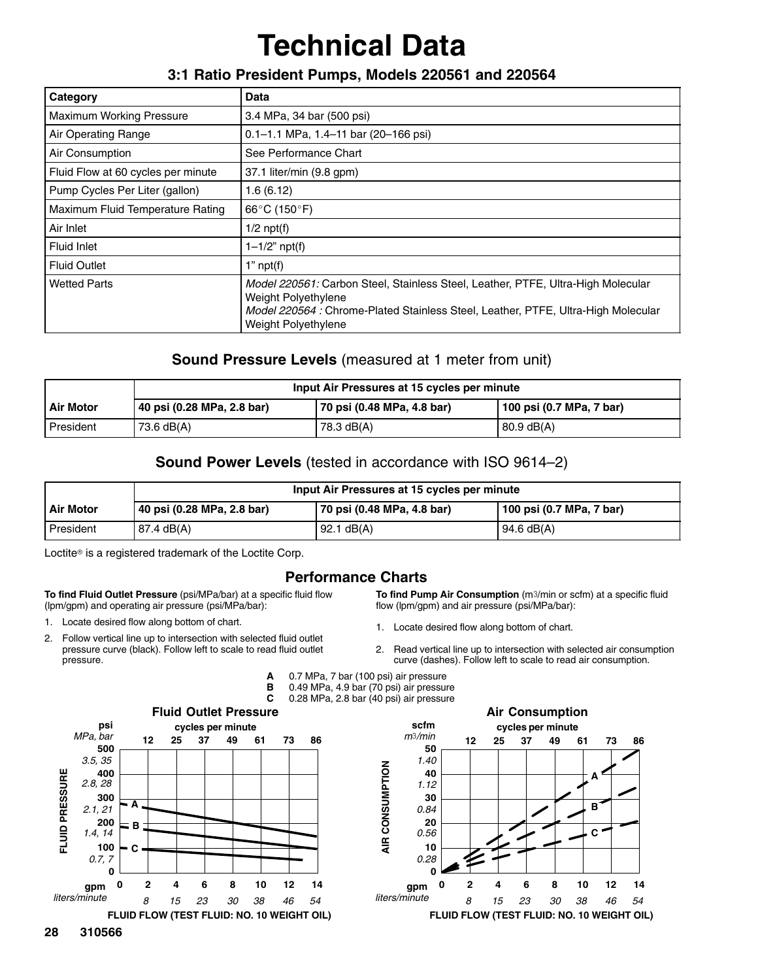## **Technical Data**

#### **3:1 Ratio President Pumps, Models 220561 and 220564**

| Category                           | <b>Data</b>                                                                                                                                                                                                                |
|------------------------------------|----------------------------------------------------------------------------------------------------------------------------------------------------------------------------------------------------------------------------|
| <b>Maximum Working Pressure</b>    | 3.4 MPa, 34 bar (500 psi)                                                                                                                                                                                                  |
| Air Operating Range                | $0.1 - 1.1$ MPa, 1.4-11 bar (20-166 psi)                                                                                                                                                                                   |
| Air Consumption                    | See Performance Chart                                                                                                                                                                                                      |
| Fluid Flow at 60 cycles per minute | 37.1 liter/min (9.8 gpm)                                                                                                                                                                                                   |
| Pump Cycles Per Liter (gallon)     | 1.6(6.12)                                                                                                                                                                                                                  |
| Maximum Fluid Temperature Rating   | 66°C (150°F)                                                                                                                                                                                                               |
| Air Inlet                          | $1/2$ npt(f)                                                                                                                                                                                                               |
| Fluid Inlet                        | $1 - 1/2$ " npt(f)                                                                                                                                                                                                         |
| <b>Fluid Outlet</b>                | $1"$ npt $(f)$                                                                                                                                                                                                             |
| <b>Wetted Parts</b>                | Model 220561: Carbon Steel, Stainless Steel, Leather, PTFE, Ultra-High Molecular<br>Weight Polyethylene<br><i>Model 220564 : Chrome-Plated Stainless Steel, Leather, PTFE, Ultra-High Molecular</i><br>Weight Polyethylene |

#### **Sound Pressure Levels** (measured at 1 meter from unit)

|                  | Input Air Pressures at 15 cycles per minute |                            |                          |
|------------------|---------------------------------------------|----------------------------|--------------------------|
| <b>Air Motor</b> | 40 psi (0.28 MPa, 2.8 bar)                  | 70 psi (0.48 MPa, 4.8 bar) | 100 psi (0.7 MPa, 7 bar) |
| President        | 73.6 dB(A)                                  | 78.3 dB(A)                 | $80.9$ dB(A)             |

#### **Sound Power Levels** (tested in accordance with ISO 9614–2)

|                  | Input Air Pressures at 15 cycles per minute |                            |                          |
|------------------|---------------------------------------------|----------------------------|--------------------------|
| <b>Air Motor</b> | 40 psi (0.28 MPa, 2.8 bar)                  | 70 psi (0.48 MPa, 4.8 bar) | 100 psi (0.7 MPa, 7 bar) |
| President        | 87.4 dB(A)                                  | $92.1 \text{ dB}(A)$       | 94.6 $dB(A)$             |

Loctite<sup>®</sup> is a registered trademark of the Loctite Corp.

**To find Fluid Outlet Pressure** (psi/MPa/bar) at a specific fluid flow (lpm/gpm) and operating air pressure (psi/MPa/bar):

- 1. Locate desired flow along bottom of chart.
- 2. Follow vertical line up to intersection with selected fluid outlet pressure curve (black). Follow left to scale to read fluid outlet pressure.

#### **Performance Charts**

**To find Pump Air Consumption** (m3/min or scfm) at a specific fluid flow (lpm/gpm) and air pressure (psi/MPa/bar):

- 1. Locate desired flow along bottom of chart.
- 2. Read vertical line up to intersection with selected air consumption curve (dashes). Follow left to scale to read air consumption.
- **A** 0.7 MPa, 7 bar (100 psi) air pressure
- **B** 0.49 MPa, 4.9 bar (70 psi) air pressure<br>**C** 0.28 MPa, 2.8 bar (40 psi) air pressure
	- **C** 0.28 MPa, 2.8 bar (40 psi) air pressure



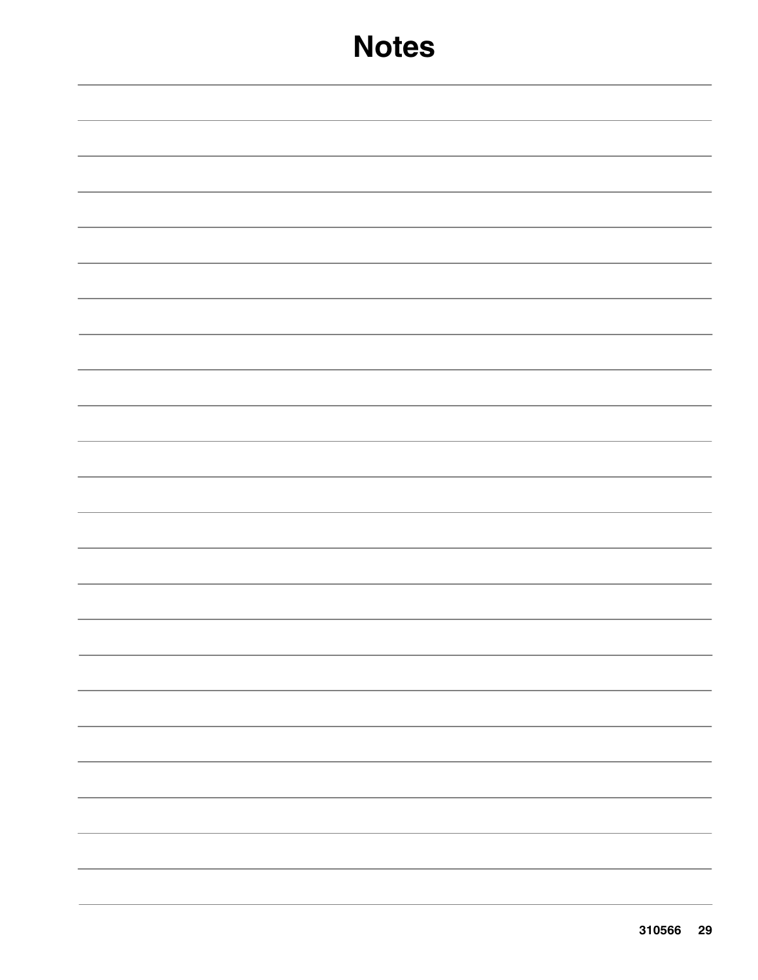## **Notes**

| $\overline{\phantom{a}}$ . The contract of $\overline{\phantom{a}}$ |
|---------------------------------------------------------------------|
|                                                                     |
|                                                                     |
|                                                                     |
|                                                                     |
|                                                                     |
|                                                                     |
|                                                                     |
|                                                                     |
|                                                                     |
|                                                                     |
|                                                                     |
|                                                                     |
|                                                                     |
|                                                                     |
|                                                                     |
|                                                                     |
|                                                                     |
|                                                                     |
|                                                                     |
|                                                                     |
|                                                                     |
|                                                                     |
|                                                                     |
|                                                                     |
| $\overline{\phantom{a}}$ . The contract of $\overline{\phantom{a}}$ |
|                                                                     |
|                                                                     |
|                                                                     |
|                                                                     |
|                                                                     |
|                                                                     |
|                                                                     |
|                                                                     |
|                                                                     |
|                                                                     |
|                                                                     |
|                                                                     |
|                                                                     |
|                                                                     |
|                                                                     |
|                                                                     |
|                                                                     |
|                                                                     |
|                                                                     |
|                                                                     |
|                                                                     |
|                                                                     |
|                                                                     |
|                                                                     |
|                                                                     |
|                                                                     |
|                                                                     |
|                                                                     |
|                                                                     |
|                                                                     |
|                                                                     |
|                                                                     |
|                                                                     |
|                                                                     |
|                                                                     |
|                                                                     |
|                                                                     |
|                                                                     |
|                                                                     |
|                                                                     |
|                                                                     |
|                                                                     |
|                                                                     |
|                                                                     |
|                                                                     |
|                                                                     |
|                                                                     |
|                                                                     |
|                                                                     |
|                                                                     |
|                                                                     |
|                                                                     |
|                                                                     |
|                                                                     |
|                                                                     |
|                                                                     |
|                                                                     |
|                                                                     |
|                                                                     |
|                                                                     |
|                                                                     |
|                                                                     |
|                                                                     |
|                                                                     |
|                                                                     |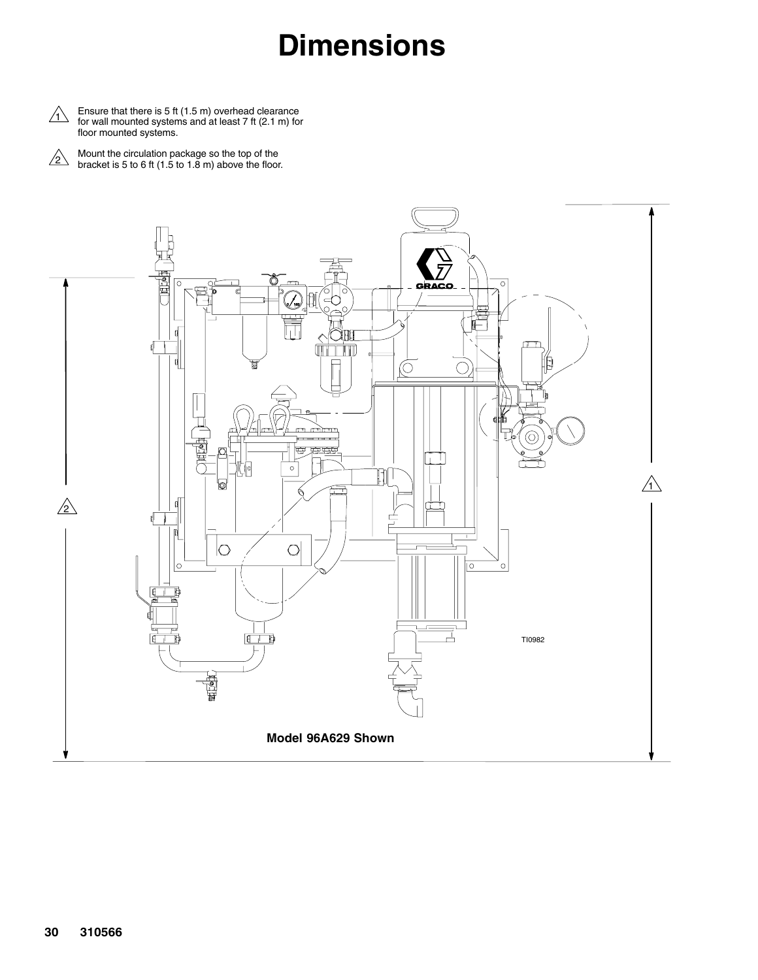## **Dimensions**

 $\triangle$  Ensure that there is 5 ft (1.5 m) overhead clearance<br>for wall mounted systems and at least 7 ft (2.1 m) for for wall mounted systems and at least 7 ft (2.1 m) for floor mounted systems.

Mount the circulation package so the top of the bracket is 5 to 6 ft (1.5 to 1.8 m) above the floor.  $\sqrt{2}$ 

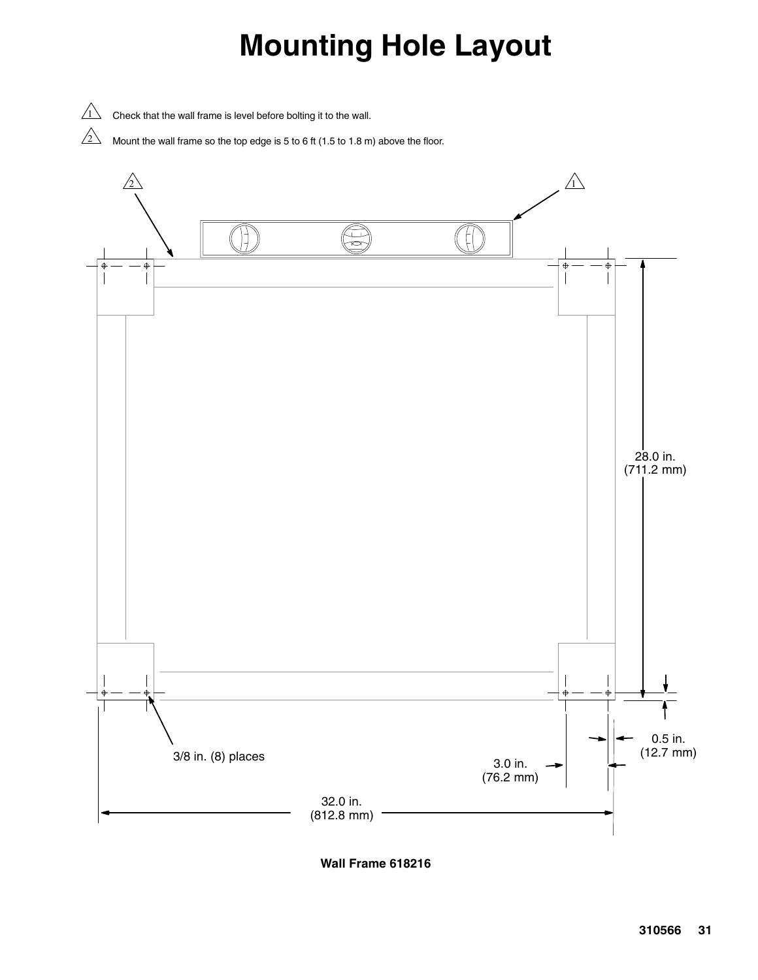## **Mounting Hole Layout**

 $\sqrt{1}$  Check that the wall frame is level before bolting it to the wall.

 $\sqrt{2}$  Mount the wall frame so the top edge is 5 to 6 ft (1.5 to 1.8 m) above the floor.



**Wall Frame 618216**